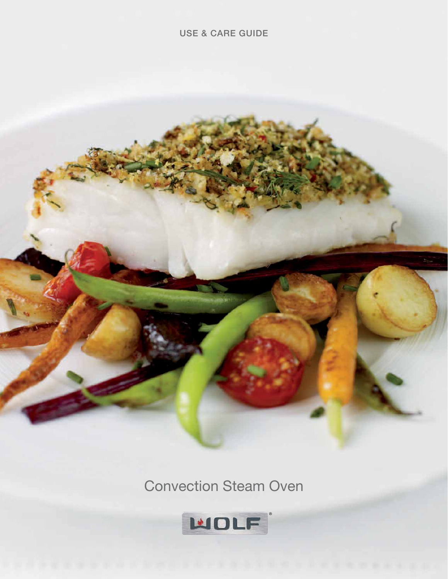## **USE & CARE GUIDE**



Convection Steam Oven

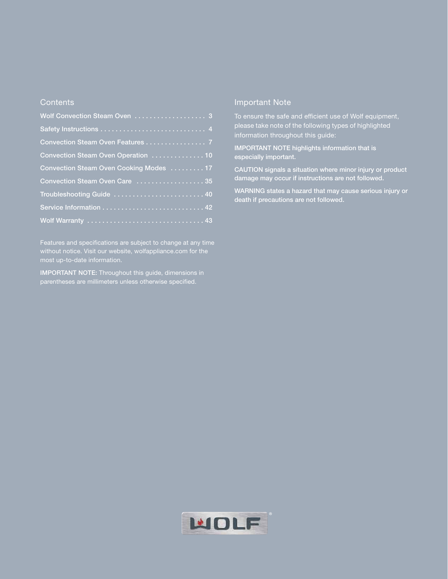### **Contents**

| Wolf Convection Steam Oven  3           |
|-----------------------------------------|
|                                         |
| Convection Steam Oven Features 7        |
| Convection Steam Oven Operation 10      |
| Convection Steam Oven Cooking Modes  17 |
| Convection Steam Oven Care  35          |
| Troubleshooting Guide  40               |
|                                         |
| Wolf Warranty  43                       |

Features and specifications are subject to change at any time without notice. Visit our website, wolfappliance.com for the

**IMPORTANT NOTE:** Throughout this guide, dimensions in

### Important Note

To ensure the safe and efficient use of Wolf equipment, please take note of the following types of highlighted information throughout this guide:

**IMPORTANT NOTE highlights information that is especially important.**

**CAUTION signals a situation where minor injury or product damage may occur if instructions are not followed.**

**WARNING states a hazard that may cause serious injury or death if precautions are not followed.**

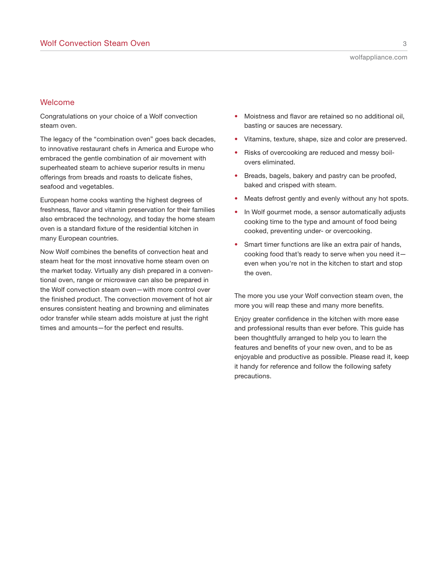### Welcome

Congratulations on your choice of a Wolf convection steam oven.

The legacy of the "combination oven" goes back decades, to innovative restaurant chefs in America and Europe who embraced the gentle combination of air movement with superheated steam to achieve superior results in menu offerings from breads and roasts to delicate fishes, seafood and vegetables.

European home cooks wanting the highest degrees of freshness, flavor and vitamin preservation for their families also embraced the technology, and today the home steam oven is a standard fixture of the residential kitchen in many European countries.

Now Wolf combines the benefits of convection heat and steam heat for the most innovative home steam oven on the market today. Virtually any dish prepared in a conventional oven, range or microwave can also be prepared in the Wolf convection steam oven—with more control over the finished product. The convection movement of hot air ensures consistent heating and browning and eliminates odor transfer while steam adds moisture at just the right times and amounts—for the perfect end results.

- Moistness and flavor are retained so no additional oil, basting or sauces are necessary.
- Vitamins, texture, shape, size and color are preserved.
- Risks of overcooking are reduced and messy boilovers eliminated.
- Breads, bagels, bakery and pastry can be proofed, baked and crisped with steam.
- Meats defrost gently and evenly without any hot spots.
- In Wolf gourmet mode, a sensor automatically adjusts cooking time to the type and amount of food being cooked, preventing under- or overcooking.
- Smart timer functions are like an extra pair of hands, cooking food that's ready to serve when you need it even when you're not in the kitchen to start and stop the oven.

The more you use your Wolf convection steam oven, the more you will reap these and many more benefits.

Enjoy greater confidence in the kitchen with more ease and professional results than ever before. This guide has been thoughtfully arranged to help you to learn the features and benefits of your new oven, and to be as enjoyable and productive as possible. Please read it, keep it handy for reference and follow the following safety precautions.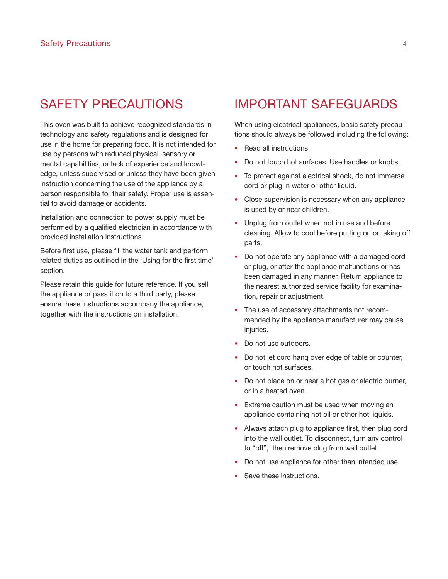## SAFETY PRECAUTIONS

This oven was built to achieve recognized standards in technology and safety regulations and is designed for use in the home for preparing food. It is not intended for use by persons with reduced physical, sensory or mental capabilities, or lack of experience and knowledge, unless supervised or unless they have been given instruction concerning the use of the appliance by a person responsible for their safety. Proper use is essential to avoid damage or accidents.

Installation and connection to power supply must be performed by a qualified electrician in accordance with provided installation instructions.

Before first use, please fill the water tank and perform related duties as outlined in the 'Using for the first time' section.

Please retain this guide for future reference. If you sell the appliance or pass it on to a third party, please ensure these instructions accompany the appliance, together with the instructions on installation.

## IMPORTANT SAFEGUARDS

When using electrical appliances, basic safety precautions should always be followed including the following:

- Read all instructions.
- Do not touch hot surfaces. Use handles or knobs.
- To protect against electrical shock, do not immerse cord or plug in water or other liquid.
- Close supervision is necessary when any appliance is used by or near children.
- Unplug from outlet when not in use and before cleaning. Allow to cool before putting on or taking off parts.
- Do not operate any appliance with a damaged cord or plug, or after the appliance malfunctions or has been damaged in any manner. Return appliance to the nearest authorized service facility for examination, repair or adjustment.
- The use of accessory attachments not recommended by the appliance manufacturer may cause injuries.
- Do not use outdoors.
- Do not let cord hang over edge of table or counter, or touch hot surfaces.
- Do not place on or near a hot gas or electric burner, or in a heated oven.
- Extreme caution must be used when moving an appliance containing hot oil or other hot liquids.
- Always attach plug to appliance first, then plug cord into the wall outlet. To disconnect, turn any control to "off", then remove plug from wall outlet.
- Do not use appliance for other than intended use.
- Save these instructions.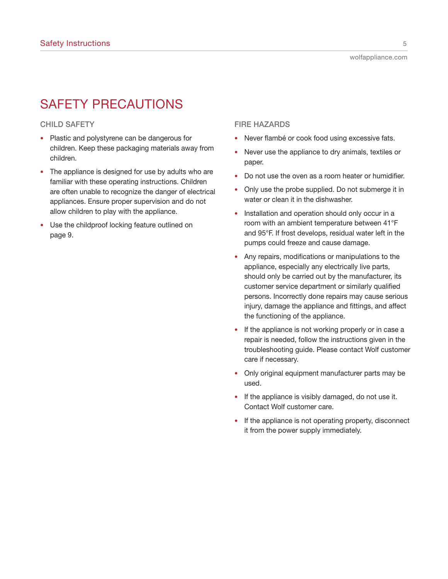# SAFETY PRECAUTIONS

### **CHILD SAFETY**

- Plastic and polystyrene can be dangerous for children. Keep these packaging materials away from children.
- The appliance is designed for use by adults who are familiar with these operating instructions. Children are often unable to recognize the danger of electrical appliances. Ensure proper supervision and do not allow children to play with the appliance.
- Use the childproof locking feature outlined on page 9.

### **FIRE HAZARDS**

- Never flambé or cook food using excessive fats.
- Never use the appliance to dry animals, textiles or paper.
- Do not use the oven as a room heater or humidifier.
- Only use the probe supplied. Do not submerge it in water or clean it in the dishwasher.
- Installation and operation should only occur in a room with an ambient temperature between 41°F and 95°F. If frost develops, residual water left in the pumps could freeze and cause damage.
- Any repairs, modifications or manipulations to the appliance, especially any electrically live parts, should only be carried out by the manufacturer, its customer service department or similarly qualified persons. Incorrectly done repairs may cause serious injury, damage the appliance and fittings, and affect the functioning of the appliance.
- If the appliance is not working properly or in case a repair is needed, follow the instructions given in the troubleshooting guide. Please contact Wolf customer care if necessary.
- Only original equipment manufacturer parts may be used.
- If the appliance is visibly damaged, do not use it. Contact Wolf customer care.
- If the appliance is not operating property, disconnect it from the power supply immediately.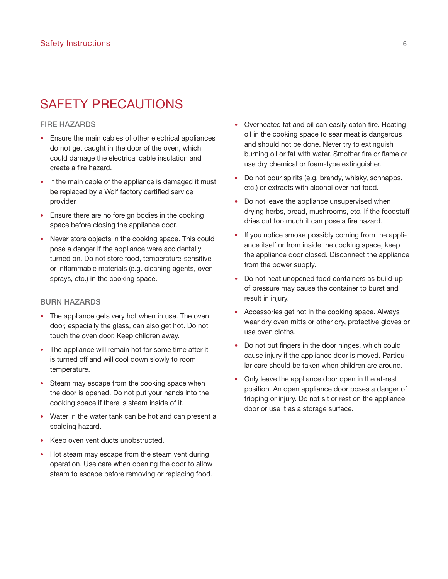## SAFETY PRECAUTIONS

### **FIRE HAZARDS**

- Ensure the main cables of other electrical appliances do not get caught in the door of the oven, which could damage the electrical cable insulation and create a fire hazard.
- If the main cable of the appliance is damaged it must be replaced by a Wolf factory certified service provider.
- Ensure there are no foreign bodies in the cooking space before closing the appliance door.
- Never store objects in the cooking space. This could pose a danger if the appliance were accidentally turned on. Do not store food, temperature-sensitive or inflammable materials (e.g. cleaning agents, oven sprays, etc.) in the cooking space.

### **BURN HAZARDS**

- The appliance gets very hot when in use. The oven door, especially the glass, can also get hot. Do not touch the oven door. Keep children away.
- The appliance will remain hot for some time after it is turned off and will cool down slowly to room temperature.
- Steam may escape from the cooking space when the door is opened. Do not put your hands into the cooking space if there is steam inside of it.
- Water in the water tank can be hot and can present a scalding hazard.
- Keep oven vent ducts unobstructed.
- Hot steam may escape from the steam vent during operation. Use care when opening the door to allow steam to escape before removing or replacing food.
- Overheated fat and oil can easily catch fire. Heating oil in the cooking space to sear meat is dangerous and should not be done. Never try to extinguish burning oil or fat with water. Smother fire or flame or use dry chemical or foam-type extinguisher.
- Do not pour spirits (e.g. brandy, whisky, schnapps, etc.) or extracts with alcohol over hot food.
- Do not leave the appliance unsupervised when drying herbs, bread, mushrooms, etc. If the foodstuff dries out too much it can pose a fire hazard.
- If you notice smoke possibly coming from the appliance itself or from inside the cooking space, keep the appliance door closed. Disconnect the appliance from the power supply.
- Do not heat unopened food containers as build-up of pressure may cause the container to burst and result in injury.
- Accessories get hot in the cooking space. Always wear dry oven mitts or other dry, protective gloves or use oven cloths.
- Do not put fingers in the door hinges, which could cause injury if the appliance door is moved. Particular care should be taken when children are around.
- Only leave the appliance door open in the at-rest position. An open appliance door poses a danger of tripping or injury. Do not sit or rest on the appliance door or use it as a storage surface.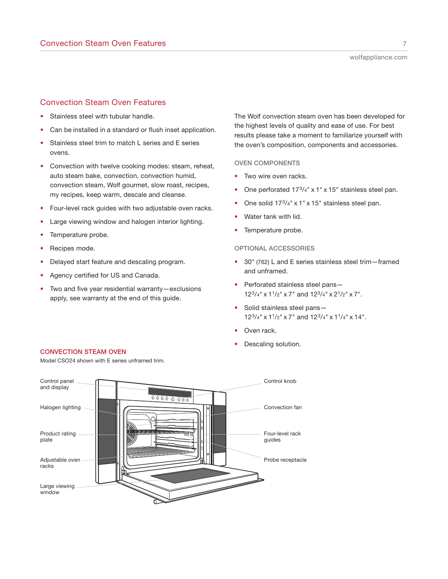### Convection Steam Oven Features

- Stainless steel with tubular handle.
- Can be installed in a standard or flush inset application.
- Stainless steel trim to match L series and E series ovens.
- Convection with twelve cooking modes: steam, reheat, auto steam bake, convection, convection humid, convection steam, Wolf gourmet, slow roast, recipes, my recipes, keep warm, descale and cleanse.
- Four-level rack guides with two adjustable oven racks.
- Large viewing window and halogen interior lighting.
- Temperature probe.
- Recipes mode.
- Delayed start feature and descaling program.
- Agency certified for US and Canada.
- Two and five year residential warranty-exclusions apply, see warranty at the end of this guide.

The Wolf convection steam oven has been developed for the highest levels of quality and ease of use. For best results please take a moment to familiarize yourself with the oven's composition, components and accessories.

### **OVEN COMPONENTS**

- Two wire oven racks.
- One perforated  $17<sup>3</sup>/4"$  x 1" x 15" stainless steel pan.
- One solid 173/4" x 1" x 15" stainless steel pan.
- Water tank with lid.
- Temperature probe.

#### **OPTIONAL ACCESSORIES**

- 30" (762) L and E series stainless steel trim—framed and unframed.
- Perforated stainless steel pans— 123/4"x11/2" x 7" and 123/4"x21/2" x 7".
- Solid stainless steel pans-123/4"x11/2" x 7" and 123/4"x11/4" x 14".
- Oven rack.
- Descaling solution.



#### **CONVECTION STEAM OVEN**

Model CSO24 shown with E series unframed trim.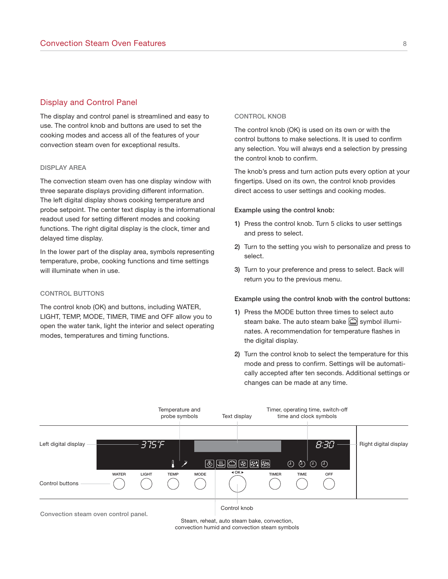### Display and Control Panel

The display and control panel is streamlined and easy to use. The control knob and buttons are used to set the cooking modes and access all of the features of your convection steam oven for exceptional results.

#### **DISPLAY AREA**

The convection steam oven has one display window with three separate displays providing different information. The left digital display shows cooking temperature and probe setpoint. The center text display is the informational readout used for setting different modes and cooking functions. The right digital display is the clock, timer and delayed time display.

In the lower part of the display area, symbols representing temperature, probe, cooking functions and time settings will illuminate when in use.

### **CONTROL BUTTONS**

The control knob (OK) and buttons, including WATER, LIGHT, TEMP, MODE, TIMER, TIME and OFF allow you to open the water tank, light the interior and select operating modes, temperatures and timing functions.

#### **CONTROL KNOB**

The control knob (OK) is used on its own or with the control buttons to make selections. It is used to confirm any selection. You will always end a selection by pressing the control knob to confirm.

The knob's press and turn action puts every option at your fingertips. Used on its own, the control knob provides direct access to user settings and cooking modes.

#### **Example using the control knob:**

- **1)** Press the control knob. Turn 5 clicks to user settings and press to select.
- **2)** Turn to the setting you wish to personalize and press to select.
- **3)** Turn to your preference and press to select. Back will return you to the previous menu.

#### **Example using the control knob with the control buttons:**

- **1)** Press the MODE button three times to select auto steam bake. The auto steam bake  $\textcircled{\small\square}$  symbol illuminates. A recommendation for temperature flashes in the digital display.
- **2)** Turn the control knob to select the temperature for this mode and press to confirm. Settings will be automatically accepted after ten seconds. Additional settings or changes can be made at any time.



Steam, reheat, auto steam bake, convection, convection humid and convection steam symbols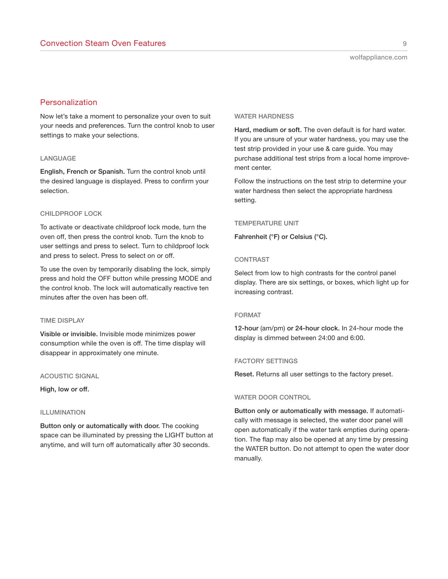### Personalization

Now let's take a moment to personalize your oven to suit your needs and preferences. Turn the control knob to user settings to make your selections.

#### **LANGUAGE**

**English, French or Spanish.** Turn the control knob until the desired language is displayed. Press to confirm your selection.

### **CHILDPROOF LOCK**

To activate or deactivate childproof lock mode, turn the oven off, then press the control knob. Turn the knob to user settings and press to select. Turn to childproof lock and press to select. Press to select on or off.

To use the oven by temporarily disabling the lock, simply press and hold the OFF button while pressing MODE and the control knob. The lock will automatically reactive ten minutes after the oven has been off.

#### **TIME DISPLAY**

**Visible or invisible.** Invisible mode minimizes power consumption while the oven is off. The time display will disappear in approximately one minute.

#### **ACOUSTIC SIGNAL**

**High, low or off.**

#### **ILLUMINATION**

**Button only or automatically with door.** The cooking space can be illuminated by pressing the LIGHT button at anytime, and will turn off automatically after 30 seconds.

#### **WATER HARDNESS**

**Hard, medium or soft.** The oven default is for hard water. If you are unsure of your water hardness, you may use the test strip provided in your use & care guide. You may purchase additional test strips from a local home improvement center.

Follow the instructions on the test strip to determine your water hardness then select the appropriate hardness setting.

#### **TEMPERATURE UNIT**

**Fahrenheit (°F) or Celsius (°C).**

#### **CONTRAST**

Select from low to high contrasts for the control panel display. There are six settings, or boxes, which light up for increasing contrast.

#### **FORMAT**

**12-hour** (am/pm) **or 24-hour clock.** In 24-hour mode the display is dimmed between 24:00 and 6:00.

#### **FACTORY SETTINGS**

**Reset.** Returns all user settings to the factory preset.

#### **WATER DOOR CONTROL**

**Button only or automatically with message.** If automatically with message is selected, the water door panel will open automatically if the water tank empties during operation. The flap may also be opened at any time by pressing the WATER button. Do not attempt to open the water door manually.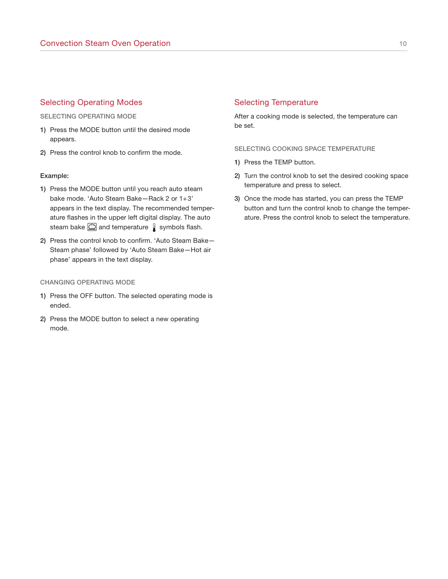### Selecting Operating Modes

**SELECTING OPERATING MODE**

- **1)** Press the MODE button until the desired mode appears.
- **2)** Press the control knob to confirm the mode.

### **Example:**

- **1)** Press the MODE button until you reach auto steam bake mode. 'Auto Steam Bake—Rack 2 or 1+3' appears in the text display. The recommended temperature flashes in the upper left digital display. The auto steam bake  $\supseteq$  and temperature  $\int$  symbols flash.
- **2)** Press the control knob to confirm. 'Auto Steam Bake— Steam phase' followed by 'Auto Steam Bake—Hot air phase' appears in the text display.

### **CHANGING OPERATING MODE**

- **1)** Press the OFF button. The selected operating mode is ended.
- **2)** Press the MODE button to select a new operating mode.

### Selecting Temperature

After a cooking mode is selected, the temperature can be set.

**SELECTING COOKING SPACE TEMPERATURE**

- **1)** Press the TEMP button.
- **2)** Turn the control knob to set the desired cooking space temperature and press to select.
- **3)** Once the mode has started, you can press the TEMP button and turn the control knob to change the temperature. Press the control knob to select the temperature.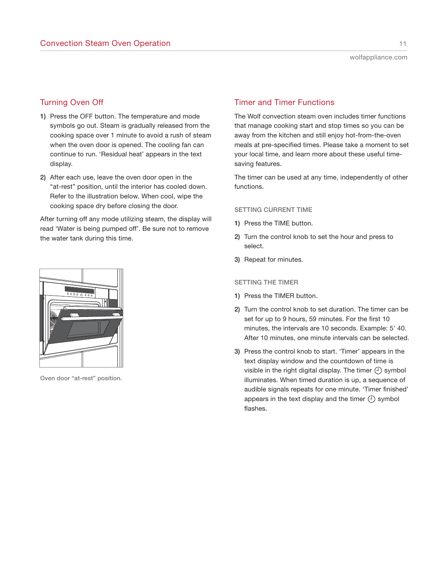### Turning Oven Off

- **1)** Press the OFF button. The temperature and mode symbols go out. Steam is gradually released from the cooking space over 1 minute to avoid a rush of steam when the oven door is opened. The cooling fan can continue to run. 'Residual heat' appears in the text display.
- **2)** After each use, leave the oven door open in the "at-rest" position, until the interior has cooled down. Refer to the illustration below. When cool, wipe the cooking space dry before closing the door.

After turning off any mode utilizing steam, the display will read 'Water is being pumped off'. Be sure not to remove the water tank during this time.



**Oven door "at-rest" position.**

## Timer and Timer Functions

The Wolf convection steam oven includes timer functions that manage cooking start and stop times so you can be away from the kitchen and still enjoy hot-from-the-oven meals at pre-specified times. Please take a moment to set your local time, and learn more about these useful timesaving features.

The timer can be used at any time, independently of other functions.

#### **SETTING CURRENT TIME**

- **1)** Press the TIME button.
- **2)** Turn the control knob to set the hour and press to select.
- **3)** Repeat for minutes.

### **SETTING THE TIMER**

- **1)** Press the TIMER button.
- **2)** Turn the control knob to set duration. The timer can be set for up to 9 hours, 59 minutes. For the first 10 minutes, the intervals are 10 seconds. Example: 5' 40. After 10 minutes, one minute intervals can be selected.
- **3)** Press the control knob to start. 'Timer' appears in the text display window and the countdown of time is visible in the right digital display. The timer  $\binom{1}{1}$  symbol illuminates. When timed duration is up, a sequence of audible signals repeats for one minute. 'Timer finished' appears in the text display and the timer  $(1)$  symbol flashes.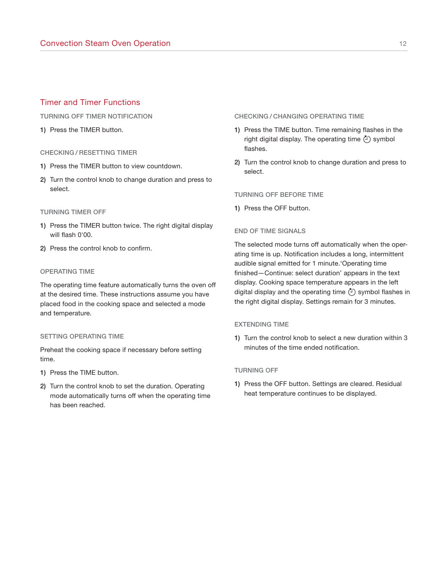### Timer and Timer Functions

**TURNING OFF TIMER NOTIFICATION**

**1)** Press the TIMER button.

#### **CHECKING / RESETTING TIMER**

- **1)** Press the TIMER button to view countdown.
- **2)** Turn the control knob to change duration and press to select.

#### **TURNING TIMER OFF**

- **1)** Press the TIMER button twice. The right digital display will flash 0'00.
- **2)** Press the control knob to confirm.

### **OPERATING TIME**

The operating time feature automatically turns the oven off at the desired time. These instructions assume you have placed food in the cooking space and selected a mode and temperature.

#### **SETTING OPERATING TIME**

Preheat the cooking space if necessary before setting time.

- **1)** Press the TIME button.
- **2)** Turn the control knob to set the duration. Operating mode automatically turns off when the operating time has been reached.

### **CHECKING / CHANGING OPERATING TIME**

- **1)** Press the TIME button. Time remaining flashes in the right digital display. The operating time  $(1)$  symbol flashes.
- **2)** Turn the control knob to change duration and press to select.

**TURNING OFF BEFORE TIME**

**1)** Press the OFF button.

#### **END OF TIME SIGNALS**

The selected mode turns off automatically when the operating time is up. Notification includes a long, intermittent audible signal emitted for 1 minute.'Operating time finished—Continue: select duration' appears in the text display. Cooking space temperature appears in the left digital display and the operating time  $(1)$  symbol flashes in the right digital display. Settings remain for 3 minutes.

#### **EXTENDING TIME**

**1)** Turn the control knob to select a new duration within 3 minutes of the time ended notification.

#### **TURNING OFF**

**1)** Press the OFF button. Settings are cleared. Residual heat temperature continues to be displayed.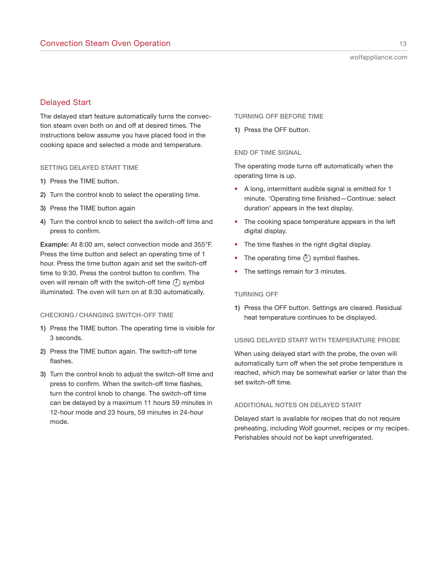### Delayed Start

The delayed start feature automatically turns the convection steam oven both on and off at desired times. The instructions below assume you have placed food in the cooking space and selected a mode and temperature.

#### **SETTING DELAYED START TIME**

- **1)** Press the TIME button.
- **2)** Turn the control knob to select the operating time.
- **3)** Press the TIME button again
- **4)** Turn the control knob to select the switch-off time and press to confirm.

**Example:** At 8:00 am, select convection mode and 355°F. Press the time button and select an operating time of 1 hour. Press the time button again and set the switch-off time to 9:30. Press the control button to confirm. The oven will remain off with the switch-off time  $(1)$  symbol illuminated. The oven will turn on at 8:30 automatically.

#### **CHECKING / CHANGING SWITCH-OFF TIME**

- **1)** Press the TIME button. The operating time is visible for 3 seconds.
- **2)** Press the TIME button again. The switch-off time flashes.
- **3)** Turn the control knob to adjust the switch-off time and press to confirm. When the switch-off time flashes, turn the control knob to change. The switch-off time can be delayed by a maximum 11 hours 59 minutes in 12-hour mode and 23 hours, 59 minutes in 24-hour mode.

### **TURNING OFF BEFORE TIME**

**1)** Press the OFF button.

### **END OF TIME SIGNAL**

The operating mode turns off automatically when the operating time is up.

- A long, intermittent audible signal is emitted for 1 minute. 'Operating time finished—Continue: select duration' appears in the text display.
- The cooking space temperature appears in the left digital display.
- The time flashes in the right digital display.
- The operating time  $(1)$  symbol flashes.
- The settings remain for 3 minutes.

#### **TURNING OFF**

**1)** Press the OFF button. Settings are cleared. Residual heat temperature continues to be displayed.

#### **USING DELAYED START WITH TEMPERATURE PROBE**

When using delayed start with the probe, the oven will automatically turn off when the set probe temperature is reached, which may be somewhat earlier or later than the set switch-off time.

#### **ADDITIONAL NOTES ON DELAYED START**

Delayed start is available for recipes that do not require preheating, including Wolf gourmet, recipes or my recipes. Perishables should not be kept unrefrigerated.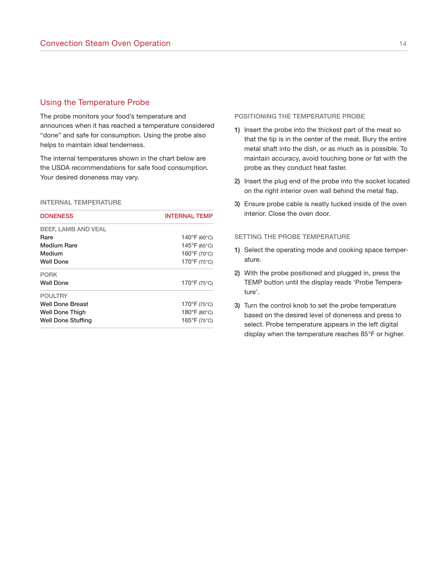### Using the Temperature Probe

The probe monitors your food's temperature and announces when it has reached a temperature considered "done" and safe for consumption. Using the probe also helps to maintain ideal tenderness.

The internal temperatures shown in the chart below are the USDA recommendations for safe food consumption. Your desired doneness may vary.

#### **INTERNAL TEMPERATURE**

| <b>DONENESS</b>         | <b>INTERNAL TEMP</b>              |
|-------------------------|-----------------------------------|
| BEEF, LAMB AND VEAL     |                                   |
| Rare                    | $140^{\circ}$ F (60 $^{\circ}$ C) |
| Medium Rare             | $145^{\circ}$ F (65 $^{\circ}$ C) |
| Medium                  | 160°F (70°C)                      |
| <b>Well Done</b>        | $170^\circ$ F (75 $^\circ$ C)     |
| <b>PORK</b>             |                                   |
| <b>Well Done</b>        | $170^\circ$ F (75°C)              |
| <b>POULTRY</b>          |                                   |
| <b>Well Done Breast</b> | $170^\circ$ F (75°C)              |
| Well Done Thigh         | $180^\circ$ F (80 $^\circ$ C)     |
| Well Done Stuffing      | 165°F (75°C)                      |

#### **POSITIONING THE TEMPERATURE PROBE**

- **1)** Insert the probe into the thickest part of the meat so that the tip is in the center of the meat. Bury the entire metal shaft into the dish, or as much as is possible. To maintain accuracy, avoid touching bone or fat with the probe as they conduct heat faster.
- **2)** Insert the plug end of the probe into the socket located on the right interior oven wall behind the metal flap.
- **3)** Ensure probe cable is neatly tucked inside of the oven interior. Close the oven door.

#### **SETTING THE PROBE TEMPERATURE**

- **1)** Select the operating mode and cooking space temperature.
- **2)** With the probe positioned and plugged in, press the TEMP button until the display reads 'Probe Temperature'.
- **3)** Turn the control knob to set the probe temperature based on the desired level of doneness and press to select. Probe temperature appears in the left digital display when the temperature reaches 85°F or higher.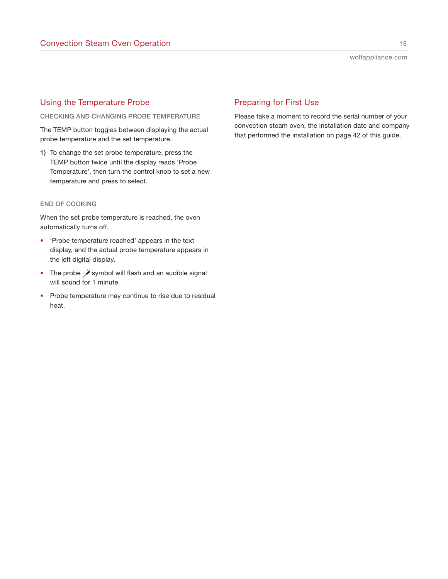### Using the Temperature Probe

### **CHECKING AND CHANGING PROBE TEMPERATURE**

The TEMP button toggles between displaying the actual probe temperature and the set temperature.

**1)** To change the set probe temperature, press the TEMP button twice until the display reads 'Probe Temperature', then turn the control knob to set a new temperature and press to select.

#### **END OF COOKING**

When the set probe temperature is reached, the oven automatically turns off.

- 'Probe temperature reached' appears in the text display, and the actual probe temperature appears in the left digital display.
- The probe  $\nearrow$  symbol will flash and an audible signal will sound for 1 minute.
- Probe temperature may continue to rise due to residual heat.

### Preparing for First Use

Please take a moment to record the serial number of your convection steam oven, the installation date and company that performed the installation on page 42 of this guide.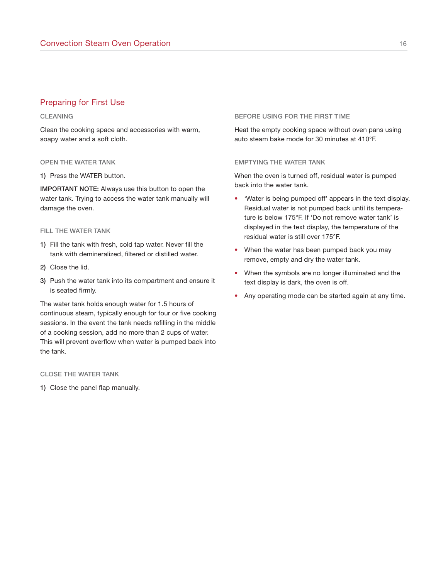### Preparing for First Use

### **CLEANING**

Clean the cooking space and accessories with warm, soapy water and a soft cloth.

#### **OPEN THE WATER TANK**

#### **1)** Press the WATER button.

**IMPORTANT NOTE:** Always use this button to open the water tank. Trying to access the water tank manually will damage the oven.

#### **FILL THE WATER TANK**

- **1)** Fill the tank with fresh, cold tap water. Never fill the tank with demineralized, filtered or distilled water.
- **2)** Close the lid.
- **3)** Push the water tank into its compartment and ensure it is seated firmly.

The water tank holds enough water for 1.5 hours of continuous steam, typically enough for four or five cooking sessions. In the event the tank needs refilling in the middle of a cooking session, add no more than 2 cups of water. This will prevent overflow when water is pumped back into the tank.

#### **CLOSE THE WATER TANK**

**1)** Close the panel flap manually.

### **BEFORE USING FOR THE FIRST TIME**

Heat the empty cooking space without oven pans using auto steam bake mode for 30 minutes at 410°F.

#### **EMPTYING THE WATER TANK**

When the oven is turned off, residual water is pumped back into the water tank.

- 'Water is being pumped off' appears in the text display. Residual water is not pumped back until its temperature is below 175°F. If 'Do not remove water tank' is displayed in the text display, the temperature of the residual water is still over 175°F.
- When the water has been pumped back you may remove, empty and dry the water tank.
- When the symbols are no longer illuminated and the text display is dark, the oven is off.
- Any operating mode can be started again at any time.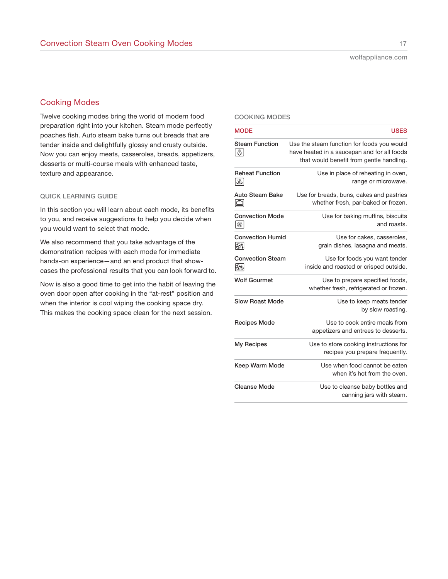### Cooking Modes

Twelve cooking modes bring the world of modern food preparation right into your kitchen. Steam mode perfectly poaches fish. Auto steam bake turns out breads that are tender inside and delightfully glossy and crusty outside. Now you can enjoy meats, casseroles, breads, appetizers, desserts or multi-course meals with enhanced taste, texture and appearance.

### **QUICK LEARNING GUIDE**

In this section you will learn about each mode, its benefits to you, and receive suggestions to help you decide when you would want to select that mode.

We also recommend that you take advantage of the demonstration recipes with each mode for immediate hands-on experience—and an end product that showcases the professional results that you can look forward to.

Now is also a good time to get into the habit of leaving the oven door open after cooking in the "at-rest" position and when the interior is cool wiping the cooking space dry. This makes the cooking space clean for the next session.

#### **COOKING MODES**

| <b>MODE</b>                               | <b>USES</b>                                                                                                                           |
|-------------------------------------------|---------------------------------------------------------------------------------------------------------------------------------------|
| <b>Steam Function</b><br> ♨               | Use the steam function for foods you would<br>have heated in a saucepan and for all foods<br>that would benefit from gentle handling. |
| <b>Reheat Function</b><br>$\sqrt{33}$     | Use in place of reheating in oven,<br>range or microwave.                                                                             |
| <b>Auto Steam Bake</b><br>$\triangle$     | Use for breads, buns, cakes and pastries<br>whether fresh, par-baked or frozen.                                                       |
| <b>Convection Mode</b><br>$ \circledast $ | Use for baking muffins, biscuits<br>and roasts.                                                                                       |
| <b>Convection Humid</b><br>$\otimes$ .    | Use for cakes, casseroles,<br>grain dishes, lasagna and meats.                                                                        |
| <b>Convection Steam</b><br>k%)            | Use for foods you want tender<br>inside and roasted or crisped outside.                                                               |
| <b>Wolf Gourmet</b>                       | Use to prepare specified foods,<br>whether fresh, refrigerated or frozen.                                                             |
| <b>Slow Roast Mode</b>                    | Use to keep meats tender<br>by slow roasting.                                                                                         |
| <b>Recipes Mode</b>                       | Use to cook entire meals from<br>appetizers and entrees to desserts.                                                                  |
| <b>My Recipes</b>                         | Use to store cooking instructions for<br>recipes you prepare frequently.                                                              |
| Keep Warm Mode                            | Use when food cannot be eaten<br>when it's hot from the oven.                                                                         |
| <b>Cleanse Mode</b>                       | Use to cleanse baby bottles and<br>canning jars with steam.                                                                           |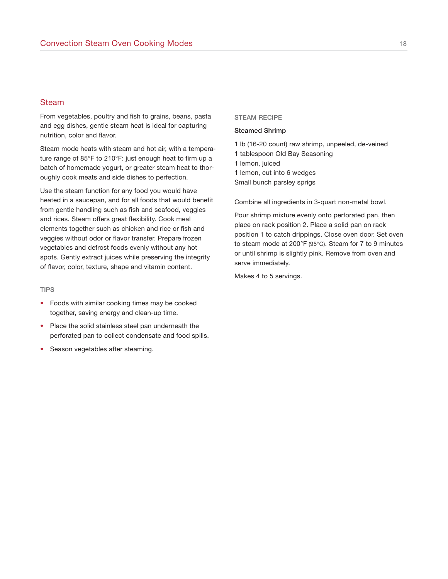### Steam

From vegetables, poultry and fish to grains, beans, pasta and egg dishes, gentle steam heat is ideal for capturing nutrition, color and flavor.

Steam mode heats with steam and hot air, with a temperature range of 85°F to 210°F: just enough heat to firm up a batch of homemade yogurt, or greater steam heat to thoroughly cook meats and side dishes to perfection.

Use the steam function for any food you would have heated in a saucepan, and for all foods that would benefit from gentle handling such as fish and seafood, veggies and rices. Steam offers great flexibility. Cook meal elements together such as chicken and rice or fish and veggies without odor or flavor transfer. Prepare frozen vegetables and defrost foods evenly without any hot spots. Gently extract juices while preserving the integrity of flavor, color, texture, shape and vitamin content.

### **TIPS**

- Foods with similar cooking times may be cooked together, saving energy and clean-up time.
- Place the solid stainless steel pan underneath the perforated pan to collect condensate and food spills.
- Season vegetables after steaming.

#### **STEAM RECIPE**

#### **Steamed Shrimp**

1 lb (16-20 count) raw shrimp, unpeeled, de-veined 1 tablespoon Old Bay Seasoning 1 lemon, juiced 1 lemon, cut into 6 wedges Small bunch parsley sprigs

Combine all ingredients in 3-quart non-metal bowl.

Pour shrimp mixture evenly onto perforated pan, then place on rack position 2. Place a solid pan on rack position 1 to catch drippings. Close oven door. Set oven to steam mode at 200°F (95°C). Steam for 7 to 9 minutes or until shrimp is slightly pink. Remove from oven and serve immediately.

Makes 4 to 5 servings.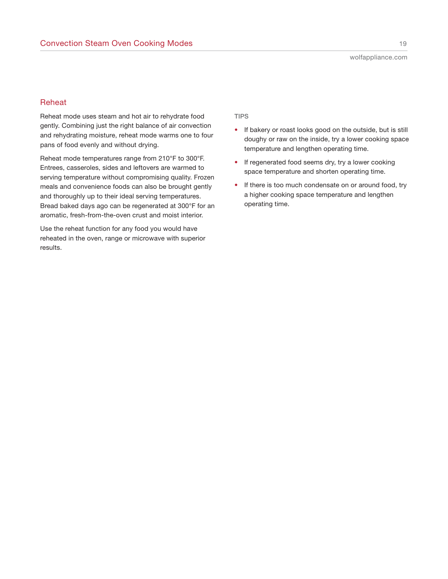### Reheat

Reheat mode uses steam and hot air to rehydrate food gently. Combining just the right balance of air convection and rehydrating moisture, reheat mode warms one to four pans of food evenly and without drying.

Reheat mode temperatures range from 210°F to 300°F. Entrees, casseroles, sides and leftovers are warmed to serving temperature without compromising quality. Frozen meals and convenience foods can also be brought gently and thoroughly up to their ideal serving temperatures. Bread baked days ago can be regenerated at 300°F for an aromatic, fresh-from-the-oven crust and moist interior.

Use the reheat function for any food you would have reheated in the oven, range or microwave with superior results.

### **TIPS**

- If bakery or roast looks good on the outside, but is still doughy or raw on the inside, try a lower cooking space temperature and lengthen operating time.
- If regenerated food seems dry, try a lower cooking space temperature and shorten operating time.
- If there is too much condensate on or around food, try a higher cooking space temperature and lengthen operating time.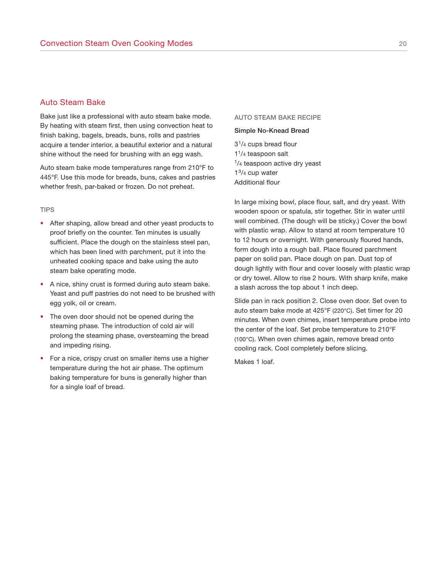### Auto Steam Bake

Bake just like a professional with auto steam bake mode. By heating with steam first, then using convection heat to finish baking, bagels, breads, buns, rolls and pastries acquire a tender interior, a beautiful exterior and a natural shine without the need for brushing with an egg wash.

Auto steam bake mode temperatures range from 210°F to 445°F. Use this mode for breads, buns, cakes and pastries whether fresh, par-baked or frozen. Do not preheat.

#### **TIPS**

- After shaping, allow bread and other yeast products to proof briefly on the counter. Ten minutes is usually sufficient. Place the dough on the stainless steel pan, which has been lined with parchment, put it into the unheated cooking space and bake using the auto steam bake operating mode.
- A nice, shiny crust is formed during auto steam bake. Yeast and puff pastries do not need to be brushed with egg yolk, oil or cream.
- The oven door should not be opened during the steaming phase. The introduction of cold air will prolong the steaming phase, oversteaming the bread and impeding rising.
- For a nice, crispy crust on smaller items use a higher temperature during the hot air phase. The optimum baking temperature for buns is generally higher than for a single loaf of bread.

#### **AUTO STEAM BAKE RECIPE**

#### **Simple No-Knead Bread**

31/4 cups bread flour 11/4 teaspoon salt <sup>1</sup>/<sub>4</sub> teaspoon active dry yeast 13/4 cup water Additional flour

In large mixing bowl, place flour, salt, and dry yeast. With wooden spoon or spatula, stir together. Stir in water until well combined. (The dough will be sticky.) Cover the bowl with plastic wrap. Allow to stand at room temperature 10 to 12 hours or overnight. With generously floured hands, form dough into a rough ball. Place floured parchment paper on solid pan. Place dough on pan. Dust top of dough lightly with flour and cover loosely with plastic wrap or dry towel. Allow to rise 2 hours. With sharp knife, make a slash across the top about 1 inch deep.

Slide pan in rack position 2. Close oven door. Set oven to auto steam bake mode at 425°F (220°C). Set timer for 20 minutes. When oven chimes, insert temperature probe into the center of the loaf. Set probe temperature to 210°F (100°C). When oven chimes again, remove bread onto cooling rack. Cool completely before slicing.

Makes 1 loaf.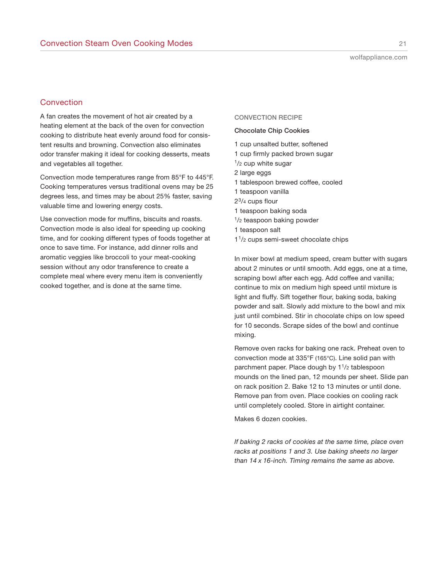### **Convection**

A fan creates the movement of hot air created by a heating element at the back of the oven for convection cooking to distribute heat evenly around food for consistent results and browning. Convection also eliminates odor transfer making it ideal for cooking desserts, meats and vegetables all together.

Convection mode temperatures range from 85°F to 445°F. Cooking temperatures versus traditional ovens may be 25 degrees less, and times may be about 25% faster, saving valuable time and lowering energy costs.

Use convection mode for muffins, biscuits and roasts. Convection mode is also ideal for speeding up cooking time, and for cooking different types of foods together at once to save time. For instance, add dinner rolls and aromatic veggies like broccoli to your meat-cooking session without any odor transference to create a complete meal where every menu item is conveniently cooked together, and is done at the same time.

#### **CONVECTION RECIPE**

#### **Chocolate Chip Cookies**

- 1 cup unsalted butter, softened
- 1 cup firmly packed brown sugar
- $1/2$  cup white sugar
- 2 large eggs
- 1 tablespoon brewed coffee, cooled
- 1 teaspoon vanilla
- 23/4 cups flour
- 1 teaspoon baking soda
- <sup>1</sup>/<sub>2</sub> teaspoon baking powder
- 1 teaspoon salt
- 11/2 cups semi-sweet chocolate chips

In mixer bowl at medium speed, cream butter with sugars about 2 minutes or until smooth. Add eggs, one at a time, scraping bowl after each egg. Add coffee and vanilla; continue to mix on medium high speed until mixture is light and fluffy. Sift together flour, baking soda, baking powder and salt. Slowly add mixture to the bowl and mix just until combined. Stir in chocolate chips on low speed for 10 seconds. Scrape sides of the bowl and continue mixing.

Remove oven racks for baking one rack. Preheat oven to convection mode at 335°F (165°C). Line solid pan with parchment paper. Place dough by 11/2 tablespoon mounds on the lined pan, 12 mounds per sheet. Slide pan on rack position 2. Bake 12 to 13 minutes or until done. Remove pan from oven. Place cookies on cooling rack until completely cooled. Store in airtight container.

Makes 6 dozen cookies.

If baking 2 racks of cookies at the same time, place oven racks at positions 1 and 3. Use baking sheets no larger than 14 x 16-inch. Timing remains the same as above.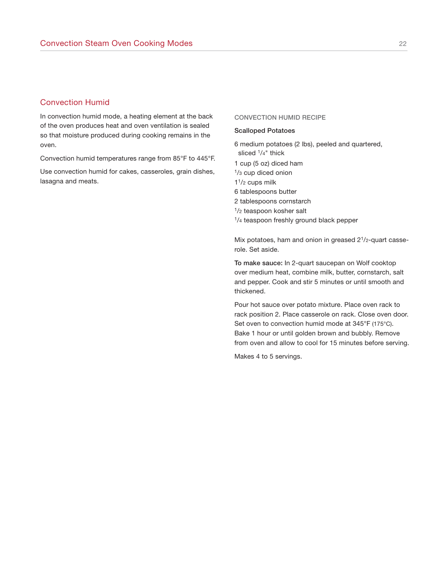### Convection Humid

In convection humid mode, a heating element at the back of the oven produces heat and oven ventilation is sealed so that moisture produced during cooking remains in the oven.

Convection humid temperatures range from 85°F to 445°F.

Use convection humid for cakes, casseroles, grain dishes, lasagna and meats.

#### **CONVECTION HUMID RECIPE**

#### **Scalloped Potatoes**

- 6 medium potatoes (2 lbs), peeled and quartered, sliced  $1/4$ " thick
- 1 cup (5 oz) diced ham
- 1/3 cup diced onion
- 11/2 cups milk
- 6 tablespoons butter
- 2 tablespoons cornstarch
- 1/<sub>2</sub> teaspoon kosher salt
- 1/4 teaspoon freshly ground black pepper

Mix potatoes, ham and onion in greased 2<sup>1</sup>/2-quart casserole. Set aside.

**To make sauce:** In 2-quart saucepan on Wolf cooktop over medium heat, combine milk, butter, cornstarch, salt and pepper. Cook and stir 5 minutes or until smooth and thickened.

Pour hot sauce over potato mixture. Place oven rack to rack position 2. Place casserole on rack. Close oven door. Set oven to convection humid mode at 345°F (175°C). Bake 1 hour or until golden brown and bubbly. Remove from oven and allow to cool for 15 minutes before serving.

Makes 4 to 5 servings.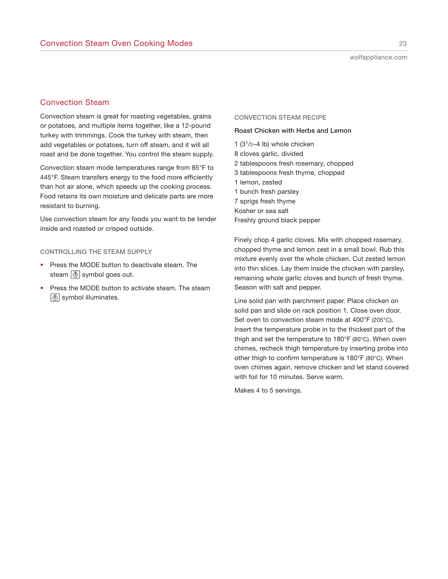### Convection Steam

Convection steam is great for roasting vegetables, grains or potatoes, and multiple items together, like a 12-pound turkey with trimmings. Cook the turkey with steam, then add vegetables or potatoes, turn off steam, and it will all roast and be done together. You control the steam supply.

Convection steam mode temperatures range from 85°F to 445°F. Steam transfers energy to the food more efficiently than hot air alone, which speeds up the cooking process. Food retains its own moisture and delicate parts are more resistant to burning.

Use convection steam for any foods you want to be tender inside and roasted or crisped outside.

### **CONTROLLING THE STEAM SUPPLY**

- Press the MODE button to deactivate steam. The steam  $\circledR$  symbol goes out.
- Press the MODE button to activate steam. The steam **5** symbol illuminates.

#### **CONVECTION STEAM RECIPE**

#### **Roast Chicken with Herbs and Lemon**

1  $(3<sup>1</sup>/2-4$  lb) whole chicken 8 cloves garlic, divided 2 tablespoons fresh rosemary, chopped 3 tablespoons fresh thyme, chopped 1 lemon, zested 1 bunch fresh parsley 7 sprigs fresh thyme Kosher or sea salt Freshly ground black pepper

Finely chop 4 garlic cloves. Mix with chopped rosemary, chopped thyme and lemon zest in a small bowl. Rub this mixture evenly over the whole chicken. Cut zested lemon into thin slices. Lay them inside the chicken with parsley, remaining whole garlic cloves and bunch of fresh thyme. Season with salt and pepper.

Line solid pan with parchment paper. Place chicken on solid pan and slide on rack position 1. Close oven door. Set oven to convection steam mode at 400°F (205°C). Insert the temperature probe in to the thickest part of the thigh and set the temperature to 180°F (80°C). When oven chimes, recheck thigh temperature by inserting probe into other thigh to confirm temperature is 180°F (80°C). When oven chimes again, remove chicken and let stand covered with foil for 10 minutes. Serve warm.

Makes 4 to 5 servings.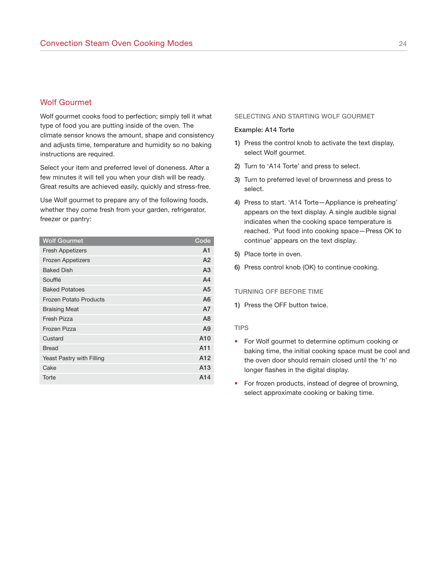### Wolf Gourmet

Wolf gourmet cooks food to perfection; simply tell it what type of food you are putting inside of the oven. The climate sensor knows the amount, shape and consistency and adjusts time, temperature and humidity so no baking instructions are required.

Select your item and preferred level of doneness. After a few minutes it will tell you when your dish will be ready. Great results are achieved easily, quickly and stress-free.

Use Wolf gourmet to prepare any of the following foods, whether they come fresh from your garden, refrigerator, freezer or pantry:

| <b>Wolf Gourmet</b>       | Code           |
|---------------------------|----------------|
| <b>Fresh Appetizers</b>   | A <sub>1</sub> |
| <b>Frozen Appetizers</b>  | A <sub>2</sub> |
| <b>Baked Dish</b>         | A <sub>3</sub> |
| Soufflé                   | A <sub>4</sub> |
| <b>Baked Potatoes</b>     | A <sub>5</sub> |
| Frozen Potato Products    | A <sub>6</sub> |
| <b>Braising Meat</b>      | A7             |
| Fresh Pizza               | A <sub>8</sub> |
| Frozen Pizza              | A <sub>9</sub> |
| Custard                   | A10            |
| <b>Bread</b>              | A11            |
| Yeast Pastry with Filling | A12            |
| Cake                      | A13            |
| Torte                     | A14            |
|                           |                |

### **SELECTING AND STARTING WOLF GOURMET**

#### **Example: A14 Torte**

- **1)** Press the control knob to activate the text display, select Wolf gourmet.
- **2)** Turn to 'A14 Torte' and press to select.
- **3)** Turn to preferred level of brownness and press to select.
- **4)** Press to start. 'A14 Torte—Appliance is preheating' appears on the text display. A single audible signal indicates when the cooking space temperature is reached. 'Put food into cooking space—Press OK to continue' appears on the text display.
- **5)** Place torte in oven.
- **6)** Press control knob (OK) to continue cooking.

#### **TURNING OFF BEFORE TIME**

**1)** Press the OFF button twice.

#### **TIPS**

- For Wolf gourmet to determine optimum cooking or baking time, the initial cooking space must be cool and the oven door should remain closed until the 'h' no longer flashes in the digital display.
- For frozen products, instead of degree of browning, select approximate cooking or baking time.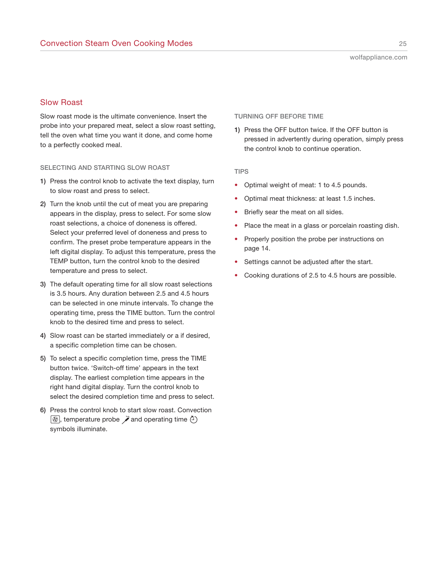### Slow Roast

Slow roast mode is the ultimate convenience. Insert the probe into your prepared meat, select a slow roast setting, tell the oven what time you want it done, and come home to a perfectly cooked meal.

#### **SELECTING AND STARTING SLOW ROAST**

- **1)** Press the control knob to activate the text display, turn to slow roast and press to select.
- **2)** Turn the knob until the cut of meat you are preparing appears in the display, press to select. For some slow roast selections, a choice of doneness is offered. Select your preferred level of doneness and press to confirm. The preset probe temperature appears in the left digital display. To adjust this temperature, press the TEMP button, turn the control knob to the desired temperature and press to select.
- **3)** The default operating time for all slow roast selections is 3.5 hours. Any duration between 2.5 and 4.5 hours can be selected in one minute intervals. To change the operating time, press the TIME button. Turn the control knob to the desired time and press to select.
- **4)** Slow roast can be started immediately or a if desired, a specific completion time can be chosen.
- **5)** To select a specific completion time, press the TIME button twice. 'Switch-off time' appears in the text display. The earliest completion time appears in the right hand digital display. Turn the control knob to select the desired completion time and press to select.
- **6)** Press the control knob to start slow roast. Convection  $\boxed{\circledcirc}$ , temperature probe  $\cancel{\check{P}}$  and operating time  $\cancel{\circ}$ symbols illuminate.

#### **TURNING OFF BEFORE TIME**

**1)** Press the OFF button twice. If the OFF button is pressed in advertently during operation, simply press the control knob to continue operation.

#### **TIPS**

- Optimal weight of meat: 1 to 4.5 pounds.
- Optimal meat thickness: at least 1.5 inches.
- Briefly sear the meat on all sides.
- Place the meat in a glass or porcelain roasting dish.
- Properly position the probe per instructions on page 14.
- Settings cannot be adjusted after the start.
- Cooking durations of 2.5 to 4.5 hours are possible.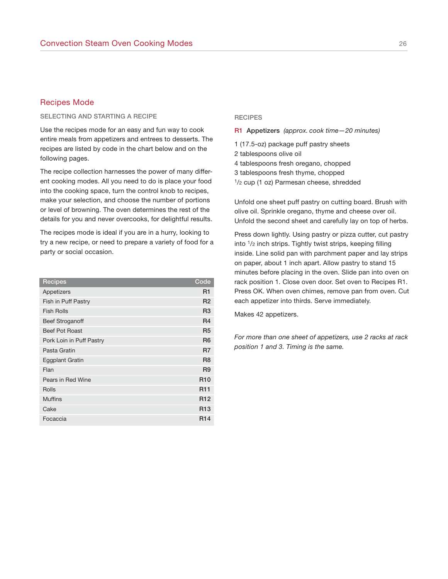### **SELECTING AND STARTING A RECIPE**

Use the recipes mode for an easy and fun way to cook entire meals from appetizers and entrees to desserts. The recipes are listed by code in the chart below and on the following pages.

The recipe collection harnesses the power of many different cooking modes. All you need to do is place your food into the cooking space, turn the control knob to recipes, make your selection, and choose the number of portions or level of browning. The oven determines the rest of the details for you and never overcooks, for delightful results.

The recipes mode is ideal if you are in a hurry, looking to try a new recipe, or need to prepare a variety of food for a party or social occasion.

| <b>Recipes</b>           | Code            |
|--------------------------|-----------------|
| Appetizers               | R1              |
| Fish in Puff Pastry      | R <sub>2</sub>  |
| <b>Fish Rolls</b>        | R <sub>3</sub>  |
| <b>Beef Stroganoff</b>   | R4              |
| <b>Beef Pot Roast</b>    | R <sub>5</sub>  |
| Pork Loin in Puff Pastry | R <sub>6</sub>  |
| Pasta Gratin             | R7              |
| <b>Eggplant Gratin</b>   | R <sub>8</sub>  |
| Flan                     | R <sub>9</sub>  |
| Pears in Red Wine        | <b>R10</b>      |
| Rolls                    | <b>R11</b>      |
| <b>Muffins</b>           | R <sub>12</sub> |
| Cake                     | R <sub>13</sub> |
| Focaccia                 | R <sub>14</sub> |

#### **RECIPES**

**R1 Appetizers** (approx. cook time—20 minutes)

1 (17.5-oz) package puff pastry sheets 2 tablespoons olive oil 4 tablespoons fresh oregano, chopped 3 tablespoons fresh thyme, chopped 1/2 cup (1 oz) Parmesan cheese, shredded

Unfold one sheet puff pastry on cutting board. Brush with olive oil. Sprinkle oregano, thyme and cheese over oil. Unfold the second sheet and carefully lay on top of herbs.

Press down lightly. Using pastry or pizza cutter, cut pastry into 1/2 inch strips. Tightly twist strips, keeping filling inside. Line solid pan with parchment paper and lay strips on paper, about 1 inch apart. Allow pastry to stand 15 minutes before placing in the oven. Slide pan into oven on rack position 1. Close oven door. Set oven to Recipes R1. Press OK. When oven chimes, remove pan from oven. Cut each appetizer into thirds. Serve immediately.

Makes 42 appetizers.

For more than one sheet of appetizers, use 2 racks at rack position 1 and 3. Timing is the same.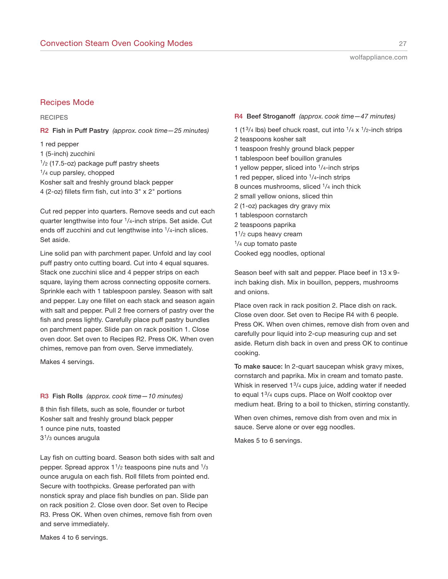### Recipes Mode

**RECIPES**

**R2 Fish in Puff Pastry** (approx. cook time—25 minutes)

1 red pepper 1 (5-inch) zucchini  $\frac{1}{2}$  (17.5-oz) package puff pastry sheets <sup>1</sup>/<sub>4</sub> cup parsley, chopped Kosher salt and freshly ground black pepper 4 (2-oz) fillets firm fish, cut into 3" x 2" portions

Cut red pepper into quarters. Remove seeds and cut each quarter lengthwise into four 1/4-inch strips. Set aside. Cut ends off zucchini and cut lengthwise into 1/4-inch slices. Set aside.

Line solid pan with parchment paper. Unfold and lay cool puff pastry onto cutting board. Cut into 4 equal squares. Stack one zucchini slice and 4 pepper strips on each square, laying them across connecting opposite corners. Sprinkle each with 1 tablespoon parsley. Season with salt and pepper. Lay one fillet on each stack and season again with salt and pepper. Pull 2 free corners of pastry over the fish and press lightly. Carefully place puff pastry bundles on parchment paper. Slide pan on rack position 1. Close oven door. Set oven to Recipes R2. Press OK. When oven chimes, remove pan from oven. Serve immediately.

Makes 4 servings.

#### **R3 Fish Rolls** (approx. cook time—10 minutes)

8 thin fish fillets, such as sole, flounder or turbot Kosher salt and freshly ground black pepper 1 ounce pine nuts, toasted 31/3 ounces arugula

Lay fish on cutting board. Season both sides with salt and pepper. Spread approx 11/2 teaspoons pine nuts and 1/3 ounce arugula on each fish. Roll fillets from pointed end. Secure with toothpicks. Grease perforated pan with nonstick spray and place fish bundles on pan. Slide pan on rack position 2. Close oven door. Set oven to Recipe R3. Press OK. When oven chimes, remove fish from oven and serve immediately.

### **R4 Beef Stroganoff** (approx. cook time—47 minutes)

1 (1 $3/4$  lbs) beef chuck roast, cut into  $1/4 \times 1/2$ -inch strips 2 teaspoons kosher salt 1 teaspoon freshly ground black pepper 1 tablespoon beef bouillon granules 1 yellow pepper, sliced into  $1/4$ -inch strips 1 red pepper, sliced into 1/4-inch strips 8 ounces mushrooms, sliced 1/4 inch thick 2 small yellow onions, sliced thin 2 (1-oz) packages dry gravy mix 1 tablespoon cornstarch 2 teaspoons paprika 11/2 cups heavy cream 1/4 cup tomato paste Cooked egg noodles, optional

Season beef with salt and pepper. Place beef in 13 x 9 inch baking dish. Mix in bouillon, peppers, mushrooms and onions.

Place oven rack in rack position 2. Place dish on rack. Close oven door. Set oven to Recipe R4 with 6 people. Press OK. When oven chimes, remove dish from oven and carefully pour liquid into 2-cup measuring cup and set aside. Return dish back in oven and press OK to continue cooking.

**To make sauce:** In 2-quart saucepan whisk gravy mixes, cornstarch and paprika. Mix in cream and tomato paste. Whisk in reserved 13/4 cups juice, adding water if needed to equal 1<sup>3</sup>/<sub>4</sub> cups cups. Place on Wolf cooktop over medium heat. Bring to a boil to thicken, stirring constantly.

When oven chimes, remove dish from oven and mix in sauce. Serve alone or over egg noodles.

Makes 5 to 6 servings.

Makes 4 to 6 servings.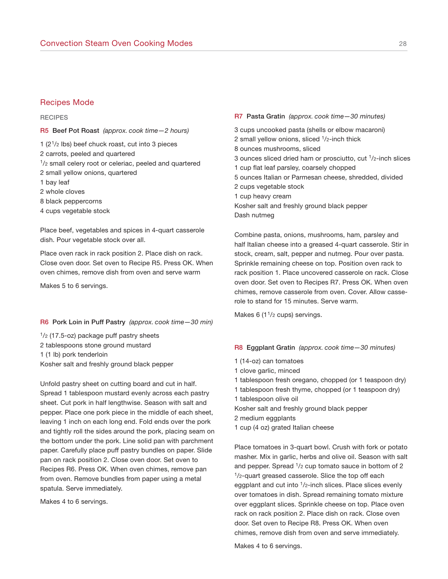### **RECIPES**

**R5 Beef Pot Roast** (approx. cook time—2 hours)

- 1 (21/2 lbs) beef chuck roast, cut into 3 pieces
- 2 carrots, peeled and quartered
- <sup>1</sup>/<sub>2</sub> small celery root or celeriac, peeled and quartered
- 2 small yellow onions, quartered
- 1 bay leaf
- 2 whole cloves
- 8 black peppercorns
- 4 cups vegetable stock

Place beef, vegetables and spices in 4-quart casserole dish. Pour vegetable stock over all.

Place oven rack in rack position 2. Place dish on rack. Close oven door. Set oven to Recipe R5. Press OK. When oven chimes, remove dish from oven and serve warm

Makes 5 to 6 servings.

#### **R6 Pork Loin in Puff Pastry** (approx. cook time—30 min)

 $\frac{1}{2}$  (17.5-oz) package puff pastry sheets 2 tablespoons stone ground mustard 1 (1 lb) pork tenderloin Kosher salt and freshly ground black pepper

Unfold pastry sheet on cutting board and cut in half. Spread 1 tablespoon mustard evenly across each pastry sheet. Cut pork in half lengthwise. Season with salt and pepper. Place one pork piece in the middle of each sheet, leaving 1 inch on each long end. Fold ends over the pork and tightly roll the sides around the pork, placing seam on the bottom under the pork. Line solid pan with parchment paper. Carefully place puff pastry bundles on paper. Slide pan on rack position 2. Close oven door. Set oven to Recipes R6. Press OK. When oven chimes, remove pan from oven. Remove bundles from paper using a metal spatula. Serve immediately.

Makes 4 to 6 servings.

### **R7 Pasta Gratin** (approx. cook time—30 minutes)

3 cups uncooked pasta (shells or elbow macaroni) 2 small yellow onions, sliced 1/2-inch thick 8 ounces mushrooms, sliced 3 ounces sliced dried ham or prosciutto, cut 1/2-inch slices 1 cup flat leaf parsley, coarsely chopped 5 ounces Italian or Parmesan cheese, shredded, divided 2 cups vegetable stock 1 cup heavy cream Kosher salt and freshly ground black pepper Dash nutmeg

Combine pasta, onions, mushrooms, ham, parsley and half Italian cheese into a greased 4-quart casserole. Stir in stock, cream, salt, pepper and nutmeg. Pour over pasta. Sprinkle remaining cheese on top. Position oven rack to rack position 1. Place uncovered casserole on rack. Close oven door. Set oven to Recipes R7. Press OK. When oven chimes, remove casserole from oven. Cover. Allow casserole to stand for 15 minutes. Serve warm.

Makes 6 (1 $\frac{1}{2}$  cups) servings.

**R8 Eggplant Gratin** (approx. cook time—30 minutes)

- 1 (14-oz) can tomatoes
- 1 clove garlic, minced
- 1 tablespoon fresh oregano, chopped (or 1 teaspoon dry)
- 1 tablespoon fresh thyme, chopped (or 1 teaspoon dry)
- 1 tablespoon olive oil
- Kosher salt and freshly ground black pepper

2 medium eggplants

1 cup (4 oz) grated Italian cheese

Place tomatoes in 3-quart bowl. Crush with fork or potato masher. Mix in garlic, herbs and olive oil. Season with salt and pepper. Spread  $1/2$  cup tomato sauce in bottom of 2  $1/2$ -quart greased casserole. Slice the top off each eggplant and cut into <sup>1</sup>/2-inch slices. Place slices evenly over tomatoes in dish. Spread remaining tomato mixture over eggplant slices. Sprinkle cheese on top. Place oven rack on rack position 2. Place dish on rack. Close oven door. Set oven to Recipe R8. Press OK. When oven chimes, remove dish from oven and serve immediately.

Makes 4 to 6 servings.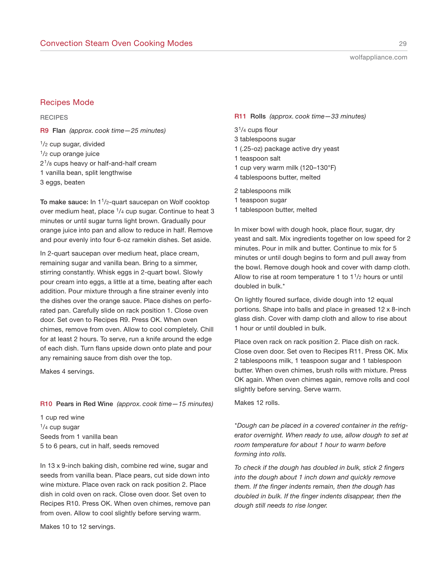### **RECIPES**

**R9 Flan** (approx. cook time—25 minutes)

 $1/2$  cup sugar, divided 1/2 cup orange juice 21/8 cups heavy or half-and-half cream 1 vanilla bean, split lengthwise 3 eggs, beaten

**To make sauce:** In 11/2-quart saucepan on Wolf cooktop over medium heat, place  $\frac{1}{4}$  cup sugar. Continue to heat 3 minutes or until sugar turns light brown. Gradually pour orange juice into pan and allow to reduce in half. Remove and pour evenly into four 6-oz ramekin dishes. Set aside.

In 2-quart saucepan over medium heat, place cream, remaining sugar and vanilla bean. Bring to a simmer, stirring constantly. Whisk eggs in 2-quart bowl. Slowly pour cream into eggs, a little at a time, beating after each addition. Pour mixture through a fine strainer evenly into the dishes over the orange sauce. Place dishes on perforated pan. Carefully slide on rack position 1. Close oven door. Set oven to Recipes R9. Press OK. When oven chimes, remove from oven. Allow to cool completely. Chill for at least 2 hours. To serve, run a knife around the edge of each dish. Turn flans upside down onto plate and pour any remaining sauce from dish over the top.

Makes 4 servings.

**R10 Pears in Red Wine** (approx. cook time—15 minutes)

1 cup red wine 1/4 cup sugar Seeds from 1 vanilla bean 5 to 6 pears, cut in half, seeds removed

In 13 x 9-inch baking dish, combine red wine, sugar and seeds from vanilla bean. Place pears, cut side down into wine mixture. Place oven rack on rack position 2. Place dish in cold oven on rack. Close oven door. Set oven to Recipes R10. Press OK. When oven chimes, remove pan from oven. Allow to cool slightly before serving warm.

Makes 10 to 12 servings.

### **R11 Rolls** (approx. cook time—33 minutes)

31/4 cups flour

3 tablespoons sugar

- 1 (.25-oz) package active dry yeast
- 1 teaspoon salt
- 1 cup very warm milk (120–130°F)
- 4 tablespoons butter, melted
- 2 tablespoons milk
- 1 teaspoon sugar
- 1 tablespoon butter, melted

In mixer bowl with dough hook, place flour, sugar, dry yeast and salt. Mix ingredients together on low speed for 2 minutes. Pour in milk and butter. Continue to mix for 5 minutes or until dough begins to form and pull away from the bowl. Remove dough hook and cover with damp cloth. Allow to rise at room temperature 1 to  $1\frac{1}{2}$  hours or until doubled in bulk.\*

On lightly floured surface, divide dough into 12 equal portions. Shape into balls and place in greased 12 x 8-inch glass dish. Cover with damp cloth and allow to rise about 1 hour or until doubled in bulk.

Place oven rack on rack position 2. Place dish on rack. Close oven door. Set oven to Recipes R11. Press OK. Mix 2 tablespoons milk, 1 teaspoon sugar and 1 tablespoon butter. When oven chimes, brush rolls with mixture. Press OK again. When oven chimes again, remove rolls and cool slightly before serving. Serve warm.

Makes 12 rolls.

\*Dough can be placed in a covered container in the refrigerator overnight. When ready to use, allow dough to set at room temperature for about 1 hour to warm before forming into rolls.

To check if the dough has doubled in bulk, stick 2 fingers into the dough about 1 inch down and quickly remove them. If the finger indents remain, then the dough has doubled in bulk. If the finger indents disappear, then the dough still needs to rise longer.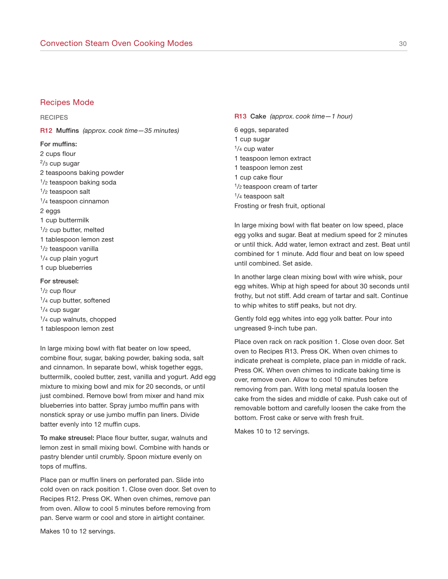### **RECIPES**

**R12 Muffins** (approx. cook time—35 minutes)

#### **For muffins:**

2 cups flour  $2/3$  cup sugar 2 teaspoons baking powder 1/<sub>2</sub> teaspoon baking soda 1/<sub>2</sub> teaspoon salt 1/4 teaspoon cinnamon 2 eggs 1 cup buttermilk  $1/2$  cup butter, melted 1 tablespoon lemon zest 1/2 teaspoon vanilla 1/4 cup plain yogurt 1 cup blueberries **For streusel:**

- $1/2$  cup flour 1/<sub>4</sub> cup butter, softened
- $1/4$  cup sugar
- 1/4 cup walnuts, chopped
- 1 tablespoon lemon zest
- 

In large mixing bowl with flat beater on low speed, combine flour, sugar, baking powder, baking soda, salt and cinnamon. In separate bowl, whisk together eggs, buttermilk, cooled butter, zest, vanilla and yogurt. Add egg mixture to mixing bowl and mix for 20 seconds, or until just combined. Remove bowl from mixer and hand mix blueberries into batter. Spray jumbo muffin pans with nonstick spray or use jumbo muffin pan liners. Divide batter evenly into 12 muffin cups.

**To make streusel:** Place flour butter, sugar, walnuts and lemon zest in small mixing bowl. Combine with hands or pastry blender until crumbly. Spoon mixture evenly on tops of muffins.

Place pan or muffin liners on perforated pan. Slide into cold oven on rack position 1. Close oven door. Set oven to Recipes R12. Press OK. When oven chimes, remove pan from oven. Allow to cool 5 minutes before removing from pan. Serve warm or cool and store in airtight container.

Makes 10 to 12 servings.

#### **R13 Cake** (approx. cook time—1 hour)

6 eggs, separated 1 cup sugar 1/4 cup water 1 teaspoon lemon extract 1 teaspoon lemon zest 1 cup cake flour <sup>1</sup>/<sub>2</sub> teaspoon cream of tarter 1/4 teaspoon salt Frosting or fresh fruit, optional

In large mixing bowl with flat beater on low speed, place egg yolks and sugar. Beat at medium speed for 2 minutes or until thick. Add water, lemon extract and zest. Beat until combined for 1 minute. Add flour and beat on low speed until combined. Set aside.

In another large clean mixing bowl with wire whisk, pour egg whites. Whip at high speed for about 30 seconds until frothy, but not stiff. Add cream of tartar and salt. Continue to whip whites to stiff peaks, but not dry.

Gently fold egg whites into egg yolk batter. Pour into ungreased 9-inch tube pan.

Place oven rack on rack position 1. Close oven door. Set oven to Recipes R13. Press OK. When oven chimes to indicate preheat is complete, place pan in middle of rack. Press OK. When oven chimes to indicate baking time is over, remove oven. Allow to cool 10 minutes before removing from pan. With long metal spatula loosen the cake from the sides and middle of cake. Push cake out of removable bottom and carefully loosen the cake from the bottom. Frost cake or serve with fresh fruit.

Makes 10 to 12 servings.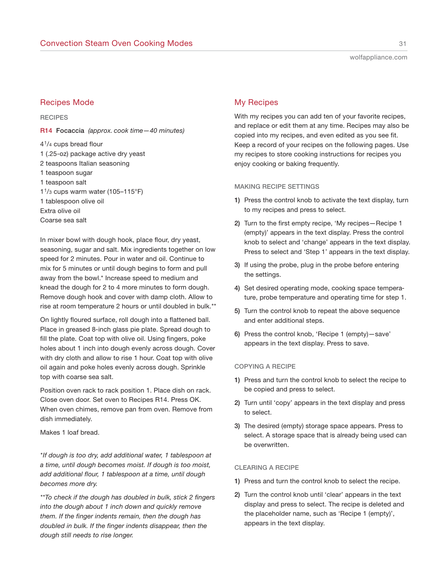**RECIPES**

**R14 Focaccia** (approx. cook time—40 minutes)

41/4 cups bread flour 1 (.25-oz) package active dry yeast 2 teaspoons Italian seasoning 1 teaspoon sugar 1 teaspoon salt  $1<sup>1</sup>/3$  cups warm water (105-115°F) 1 tablespoon olive oil Extra olive oil Coarse sea salt

In mixer bowl with dough hook, place flour, dry yeast, seasoning, sugar and salt. Mix ingredients together on low speed for 2 minutes. Pour in water and oil. Continue to mix for 5 minutes or until dough begins to form and pull away from the bowl.\* Increase speed to medium and knead the dough for 2 to 4 more minutes to form dough. Remove dough hook and cover with damp cloth. Allow to rise at room temperature 2 hours or until doubled in bulk.\*\*

On lightly floured surface, roll dough into a flattened ball. Place in greased 8-inch glass pie plate. Spread dough to fill the plate. Coat top with olive oil. Using fingers, poke holes about 1 inch into dough evenly across dough. Cover with dry cloth and allow to rise 1 hour. Coat top with olive oil again and poke holes evenly across dough. Sprinkle top with coarse sea salt.

Position oven rack to rack position 1. Place dish on rack. Close oven door. Set oven to Recipes R14. Press OK. When oven chimes, remove pan from oven. Remove from dish immediately.

Makes 1 loaf bread.

\*If dough is too dry, add additional water, 1 tablespoon at a time, until dough becomes moist. If dough is too moist, add additional flour, 1 tablespoon at a time, until dough becomes more dry.

\*\*To check if the dough has doubled in bulk, stick 2 fingers into the dough about 1 inch down and quickly remove them. If the finger indents remain, then the dough has doubled in bulk. If the finger indents disappear, then the dough still needs to rise longer.

### My Recipes

With my recipes you can add ten of your favorite recipes, and replace or edit them at any time. Recipes may also be copied into my recipes, and even edited as you see fit. Keep a record of your recipes on the following pages. Use my recipes to store cooking instructions for recipes you enjoy cooking or baking frequently.

#### **MAKING RECIPE SETTINGS**

- **1)** Press the control knob to activate the text display, turn to my recipes and press to select.
- **2)** Turn to the first empty recipe, 'My recipes—Recipe 1 (empty)' appears in the text display. Press the control knob to select and 'change' appears in the text display. Press to select and 'Step 1' appears in the text display.
- **3)** If using the probe, plug in the probe before entering the settings.
- **4)** Set desired operating mode, cooking space temperature, probe temperature and operating time for step 1.
- **5)** Turn the control knob to repeat the above sequence and enter additional steps.
- **6)** Press the control knob, 'Recipe 1 (empty)—save' appears in the text display. Press to save.

#### **COPYING A RECIPE**

- **1)** Press and turn the control knob to select the recipe to be copied and press to select.
- **2)** Turn until 'copy' appears in the text display and press to select.
- **3)** The desired (empty) storage space appears. Press to select. A storage space that is already being used can be overwritten.

#### **CLEARING A RECIPE**

- **1)** Press and turn the control knob to select the recipe.
- **2)** Turn the control knob until 'clear' appears in the text display and press to select. The recipe is deleted and the placeholder name, such as 'Recipe 1 (empty)', appears in the text display.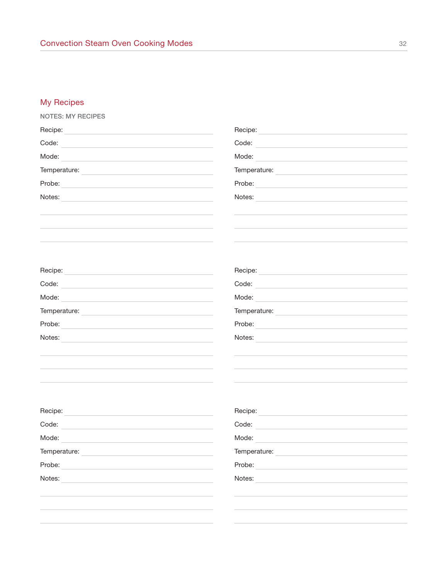## My Recipes

| <b>NOTES: MY RECIPES</b>                                                                                                                                                                                                                |                                                                                                                                                                                                                                      |
|-----------------------------------------------------------------------------------------------------------------------------------------------------------------------------------------------------------------------------------------|--------------------------------------------------------------------------------------------------------------------------------------------------------------------------------------------------------------------------------------|
| Recipe: <u>Alexander Alexander Alexander Alexander Alexander Alexander Alexander Alexander Alexander Alexander Alexander Alexander Alexander Alexander Alexander Alexander Alexander Alexander Alexander Alexander Alexander Ale</u>    |                                                                                                                                                                                                                                      |
| Code: with the contract of the contract of the contract of the contract of the contract of the contract of the contract of the contract of the contract of the contract of the contract of the contract of the contract of the          | Code: with a series of the series of the series of the series of the series of the series of the series of the series of the series of the series of the series of the series of the series of the series of the series of the       |
| Mode:                                                                                                                                                                                                                                   | Mode: Note: Note: Note: Note: Note: Note: Note: Note: Note: Note: Note: Note: Note: Note: Note: Note: Note: No                                                                                                                       |
|                                                                                                                                                                                                                                         | Temperature: <u>with a series of the series of the series of the series of the series of the series of the series of the series of the series of the series of the series of the series of the series of the series of the serie</u> |
| Probe:                                                                                                                                                                                                                                  | Probe: Note: Note: Note: Note: Note: Note: Note: Note: Note: Note: Note: Note: Note: Note: Note: No                                                                                                                                  |
| Notes:<br><u> 1980 - Johann Barbara, martxa alemaniar a</u>                                                                                                                                                                             | Notes: with the contract of the contract of the contract of the contract of the contract of the contract of the contract of the contract of the contract of the contract of the contract of the contract of the contract of th       |
|                                                                                                                                                                                                                                         |                                                                                                                                                                                                                                      |
|                                                                                                                                                                                                                                         |                                                                                                                                                                                                                                      |
|                                                                                                                                                                                                                                         |                                                                                                                                                                                                                                      |
|                                                                                                                                                                                                                                         |                                                                                                                                                                                                                                      |
|                                                                                                                                                                                                                                         |                                                                                                                                                                                                                                      |
| Recipe: New York Products and Contract Contract Contract Contract Contract Contract Contract Contract Contract Contract Contract Contract Contract Contract Contract Contract Contract Contract Contract Contract Contract Con<br>Code: |                                                                                                                                                                                                                                      |
| Mode:                                                                                                                                                                                                                                   | Code: with the contract of the contract of the contract of the contract of the contract of the contract of the contract of the contract of the contract of the contract of the contract of the contract of the contract of the       |
| <u> 1989 - Johann Barn, mars eta bat erroman erroman erroman erroman erroman erroman erroman erroman erroman err</u>                                                                                                                    | Mode:                                                                                                                                                                                                                                |
| Temperature: <u>with a series of the series of the series of the series of the series of the series of the series of the series of the series of the series of the series of the series of the series of the series of the serie</u>    | Temperature: <u>with a series of the series of the series of the series of the series of the series of the series of the series of the series of the series of the series of the series of the series of the series of the serie</u> |
| Probe:                                                                                                                                                                                                                                  | Probe: when the contract of the contract of the contract of the contract of the contract of the contract of the contract of the contract of the contract of the contract of the contract of the contract of the contract of th       |
| Notes:<br><u> 1980 - Jan Barbara Barbara, manazarta da kasas da kasas da kasas da kasas da kasas da kasas da kasas da kasa</u>                                                                                                          | Notes: with the contract of the contract of the contract of the contract of the contract of the contract of the contract of the contract of the contract of the contract of the contract of the contract of the contract of th       |
|                                                                                                                                                                                                                                         |                                                                                                                                                                                                                                      |
|                                                                                                                                                                                                                                         |                                                                                                                                                                                                                                      |
|                                                                                                                                                                                                                                         |                                                                                                                                                                                                                                      |
|                                                                                                                                                                                                                                         |                                                                                                                                                                                                                                      |
| Recipe: National Contract of the Contract of the Contract of the Contract of the Contract of the Contract of the Contract of the Contract of the Contract of the Contract of the Contract of the Contract of the Contract of t          | Recipe: New York Product of the Contract of the Contract of the Contract of the Contract of the Contract of the Contract of the Contract of the Contract of the Contract of the Contract of the Contract of the Contract of th       |
| Code: with the code of the contract of the code of the code of the code of the code of the code of the code of the code of the code of the code of the code of the code of the code of the code of the code of the code of the          | Code: with a state of the state of the state of the state of the state of the state of the state of the state of the state of the state of the state of the state of the state of the state of the state of the state of the s       |
| Mode:                                                                                                                                                                                                                                   | Mode:                                                                                                                                                                                                                                |
| Temperature:                                                                                                                                                                                                                            | Temperature:                                                                                                                                                                                                                         |
| Probe:                                                                                                                                                                                                                                  | Probe:                                                                                                                                                                                                                               |
| Notes:                                                                                                                                                                                                                                  | Notes:                                                                                                                                                                                                                               |
|                                                                                                                                                                                                                                         |                                                                                                                                                                                                                                      |
|                                                                                                                                                                                                                                         |                                                                                                                                                                                                                                      |
|                                                                                                                                                                                                                                         |                                                                                                                                                                                                                                      |
|                                                                                                                                                                                                                                         |                                                                                                                                                                                                                                      |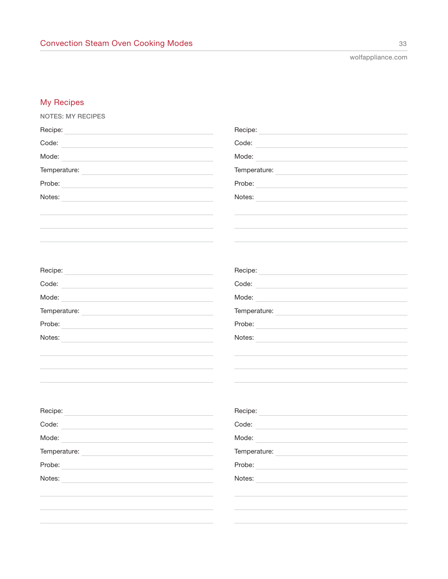## My Recipes

| Recipe: No. 1996. The Company of the Company of the Company of the Company of the Company of the Company of the Company of the Company of the Company of the Company of the Company of the Company of the Company of the Compa      | Recipe: <u>contract and contract and contract and contract and contract and contract and contract and contract of the set of the set of the set of the set of the set of the set of the set of the set of the set of the set of </u> |  |
|-------------------------------------------------------------------------------------------------------------------------------------------------------------------------------------------------------------------------------------|--------------------------------------------------------------------------------------------------------------------------------------------------------------------------------------------------------------------------------------|--|
| Code: with the code of the code of the code of the code of the code of the code of the code of the code of the code of the code of the code of the code of the code of the code of the code of the code of the code of the cod      | Code: New York Product of the Code:                                                                                                                                                                                                  |  |
| Mode:<br><u> 1989 - Andrea Andrew Maria (h. 1989).</u>                                                                                                                                                                              | Mode:                                                                                                                                                                                                                                |  |
|                                                                                                                                                                                                                                     | Temperature: <u>www.community.community.community.community.com</u>                                                                                                                                                                  |  |
| Probe:<br><u> 1980 - John Stein, mars and de Barbara (b. 1980)</u>                                                                                                                                                                  |                                                                                                                                                                                                                                      |  |
| Notes:                                                                                                                                                                                                                              | Notes:                                                                                                                                                                                                                               |  |
|                                                                                                                                                                                                                                     |                                                                                                                                                                                                                                      |  |
|                                                                                                                                                                                                                                     |                                                                                                                                                                                                                                      |  |
|                                                                                                                                                                                                                                     |                                                                                                                                                                                                                                      |  |
|                                                                                                                                                                                                                                     |                                                                                                                                                                                                                                      |  |
| Recipe: <u>contract and contract and contract and</u> contract and contract and contract and contract and contract and contract and contract and contract and contract and contract and contract and contract and contract and cont | Recipe: <b>Example 2019</b>                                                                                                                                                                                                          |  |
| Code: with the contract of the contract of the contract of the contract of the contract of the contract of the contract of the contract of the contract of the contract of the contract of the contract of the contract of the      |                                                                                                                                                                                                                                      |  |
| Mode: Note: Note: Note: Note: Note: Note: Note: Note: Note: Note: Note: Note: Note: Note: Note: Note: Note: No                                                                                                                      | Mode:                                                                                                                                                                                                                                |  |
| Temperature: <u>www.community.community.community.community.com</u>                                                                                                                                                                 | Temperature: National Account of the Contract of the Contract of the Contract of the Contract of the Contract of the Contract of the Contract of the Contract of the Contract of the Contract of the Contract of the Contract        |  |
| Probe:<br><u> 1980 - Jan Barbara (h. 1980).</u><br>1900 - Johann Barbara, frantziar idazlea (h. 1900).                                                                                                                              | Probe: Probe:                                                                                                                                                                                                                        |  |
| Notes:<br><u> 1989 - John Stein, Amerikaansk konst</u>                                                                                                                                                                              | Notes: Notes: Notes: Notes: Notes: Notes: Notes: Notes: Notes: Notes: Notes: Notes: Notes: Notes: No                                                                                                                                 |  |
|                                                                                                                                                                                                                                     |                                                                                                                                                                                                                                      |  |
|                                                                                                                                                                                                                                     |                                                                                                                                                                                                                                      |  |
|                                                                                                                                                                                                                                     |                                                                                                                                                                                                                                      |  |
|                                                                                                                                                                                                                                     |                                                                                                                                                                                                                                      |  |
|                                                                                                                                                                                                                                     |                                                                                                                                                                                                                                      |  |
| Recipe:                                                                                                                                                                                                                             | Recipe:                                                                                                                                                                                                                              |  |

| Code:        |
|--------------|
| Mode:        |
| Temperature: |
| Probe:       |
| Notes:       |
|              |
|              |
|              |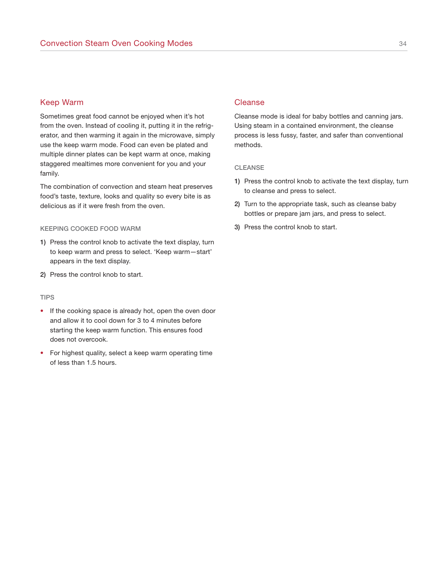### Keep Warm

Sometimes great food cannot be enjoyed when it's hot from the oven. Instead of cooling it, putting it in the refrigerator, and then warming it again in the microwave, simply use the keep warm mode. Food can even be plated and multiple dinner plates can be kept warm at once, making staggered mealtimes more convenient for you and your family.

The combination of convection and steam heat preserves food's taste, texture, looks and quality so every bite is as delicious as if it were fresh from the oven.

### **KEEPING COOKED FOOD WARM**

- **1)** Press the control knob to activate the text display, turn to keep warm and press to select. 'Keep warm—start' appears in the text display.
- **2)** Press the control knob to start.

### **TIPS**

- If the cooking space is already hot, open the oven door and allow it to cool down for 3 to 4 minutes before starting the keep warm function. This ensures food does not overcook.
- For highest quality, select a keep warm operating time of less than 1.5 hours.

### Cleanse

Cleanse mode is ideal for baby bottles and canning jars. Using steam in a contained environment, the cleanse process is less fussy, faster, and safer than conventional methods.

#### **CLEANSE**

- **1)** Press the control knob to activate the text display, turn to cleanse and press to select.
- **2)** Turn to the appropriate task, such as cleanse baby bottles or prepare jam jars, and press to select.
- **3)** Press the control knob to start.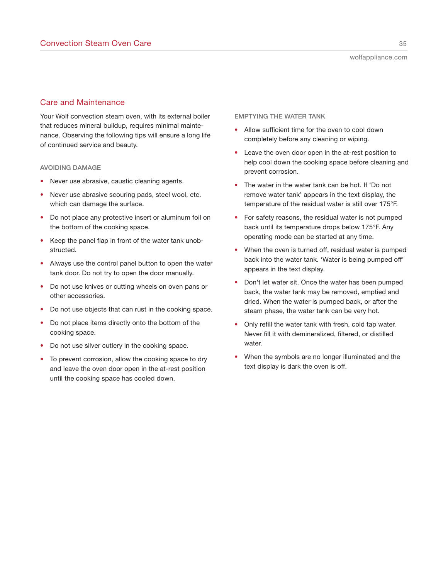### Care and Maintenance

Your Wolf convection steam oven, with its external boiler that reduces mineral buildup, requires minimal maintenance. Observing the following tips will ensure a long life of continued service and beauty.

#### **AVOIDING DAMAGE**

- Never use abrasive, caustic cleaning agents.
- Never use abrasive scouring pads, steel wool, etc. which can damage the surface.
- Do not place any protective insert or aluminum foil on the bottom of the cooking space.
- Keep the panel flap in front of the water tank unobstructed.
- Always use the control panel button to open the water tank door. Do not try to open the door manually.
- Do not use knives or cutting wheels on oven pans or other accessories.
- Do not use objects that can rust in the cooking space.
- Do not place items directly onto the bottom of the cooking space.
- Do not use silver cutlery in the cooking space.
- To prevent corrosion, allow the cooking space to dry and leave the oven door open in the at-rest position until the cooking space has cooled down.

**EMPTYING THE WATER TANK**

- Allow sufficient time for the oven to cool down completely before any cleaning or wiping.
- Leave the oven door open in the at-rest position to help cool down the cooking space before cleaning and prevent corrosion.
- The water in the water tank can be hot. If 'Do not remove water tank' appears in the text display, the temperature of the residual water is still over 175°F.
- For safety reasons, the residual water is not pumped back until its temperature drops below 175°F. Any operating mode can be started at any time.
- When the oven is turned off, residual water is pumped back into the water tank. 'Water is being pumped off' appears in the text display.
- Don't let water sit. Once the water has been pumped back, the water tank may be removed, emptied and dried. When the water is pumped back, or after the steam phase, the water tank can be very hot.
- Only refill the water tank with fresh, cold tap water. Never fill it with demineralized, filtered, or distilled water.
- When the symbols are no longer illuminated and the text display is dark the oven is off.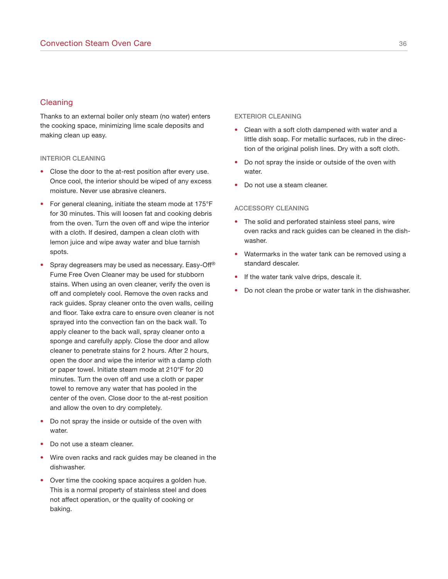### Cleaning

Thanks to an external boiler only steam (no water) enters the cooking space, minimizing lime scale deposits and making clean up easy.

#### **INTERIOR CLEANING**

- Close the door to the at-rest position after every use. Once cool, the interior should be wiped of any excess moisture. Never use abrasive cleaners.
- For general cleaning, initiate the steam mode at 175°F for 30 minutes. This will loosen fat and cooking debris from the oven. Turn the oven off and wipe the interior with a cloth. If desired, dampen a clean cloth with lemon juice and wipe away water and blue tarnish spots.
- Spray degreasers may be used as necessary. Easy-Off $^{\circledR}$ Fume Free Oven Cleaner may be used for stubborn stains. When using an oven cleaner, verify the oven is off and completely cool. Remove the oven racks and rack guides. Spray cleaner onto the oven walls, ceiling and floor. Take extra care to ensure oven cleaner is not sprayed into the convection fan on the back wall. To apply cleaner to the back wall, spray cleaner onto a sponge and carefully apply. Close the door and allow cleaner to penetrate stains for 2 hours. After 2 hours, open the door and wipe the interior with a damp cloth or paper towel. Initiate steam mode at 210°F for 20 minutes. Turn the oven off and use a cloth or paper towel to remove any water that has pooled in the center of the oven. Close door to the at-rest position and allow the oven to dry completely.
- Do not spray the inside or outside of the oven with water.
- Do not use a steam cleaner.
- Wire oven racks and rack guides may be cleaned in the dishwasher.
- Over time the cooking space acquires a golden hue. This is a normal property of stainless steel and does not affect operation, or the quality of cooking or baking.

#### **EXTERIOR CLEANING**

- Clean with a soft cloth dampened with water and a little dish soap. For metallic surfaces, rub in the direction of the original polish lines. Dry with a soft cloth.
- Do not spray the inside or outside of the oven with water.
- Do not use a steam cleaner.

#### **ACCESSORY CLEANING**

- The solid and perforated stainless steel pans, wire oven racks and rack guides can be cleaned in the dishwasher.
- Watermarks in the water tank can be removed using a standard descaler.
- If the water tank valve drips, descale it.
- Do not clean the probe or water tank in the dishwasher.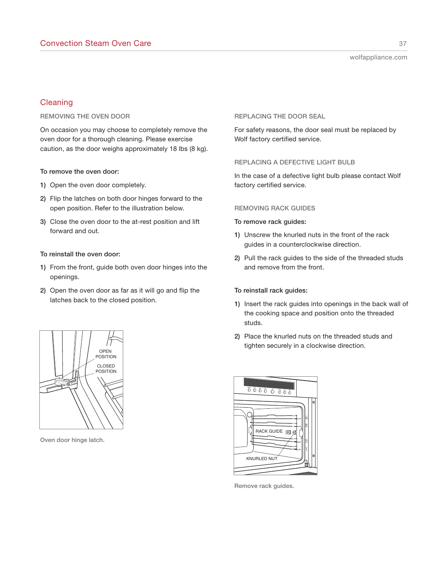### Cleaning

**REMOVING THE OVEN DOOR**

On occasion you may choose to completely remove the oven door for a thorough cleaning. Please exercise caution, as the door weighs approximately 18 lbs (8 kg).

#### **To remove the oven door:**

- **1)** Open the oven door completely.
- **2)** Flip the latches on both door hinges forward to the open position. Refer to the illustration below.
- **3)** Close the oven door to the at-rest position and lift forward and out.

#### **To reinstall the oven door:**

- **1)** From the front, guide both oven door hinges into the openings.
- **2)** Open the oven door as far as it will go and flip the latches back to the closed position.



**Oven door hinge latch.**

### **REPLACING THE DOOR SEAL**

For safety reasons, the door seal must be replaced by Wolf factory certified service.

### **REPLACING A DEFECTIVE LIGHT BULB**

In the case of a defective light bulb please contact Wolf factory certified service.

#### **REMOVING RACK GUIDES**

#### **To remove rack guides:**

- **1)** Unscrew the knurled nuts in the front of the rack guides in a counterclockwise direction.
- **2)** Pull the rack guides to the side of the threaded studs and remove from the front.

### **To reinstall rack guides:**

- **1)** Insert the rack guides into openings in the back wall of the cooking space and position onto the threaded studs.
- **2)** Place the knurled nuts on the threaded studs and tighten securely in a clockwise direction.



**Remove rack guides.**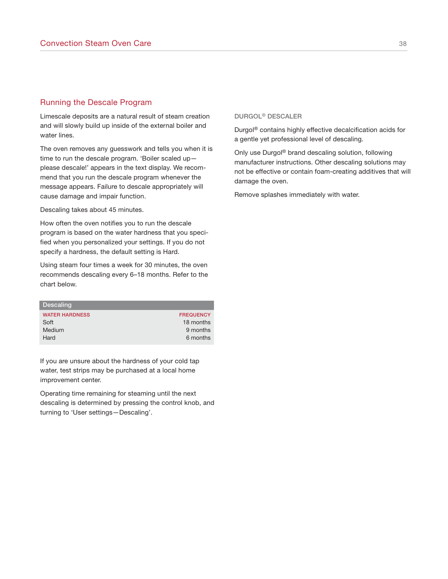### Running the Descale Program

Limescale deposits are a natural result of steam creation and will slowly build up inside of the external boiler and water lines.

The oven removes any guesswork and tells you when it is time to run the descale program. 'Boiler scaled up please descale!' appears in the text display. We recommend that you run the descale program whenever the message appears. Failure to descale appropriately will cause damage and impair function.

Descaling takes about 45 minutes.

How often the oven notifies you to run the descale program is based on the water hardness that you specified when you personalized your settings. If you do not specify a hardness, the default setting is Hard.

Using steam four times a week for 30 minutes, the oven recommends descaling every 6–18 months. Refer to the chart below.

| <b>Descaling</b>                                |                                                       |
|-------------------------------------------------|-------------------------------------------------------|
| <b>WATER HARDNESS</b><br>Soft<br>Medium<br>Hard | <b>FREQUENCY</b><br>18 months<br>9 months<br>6 months |
|                                                 |                                                       |

If you are unsure about the hardness of your cold tap water, test strips may be purchased at a local home improvement center.

Operating time remaining for steaming until the next descaling is determined by pressing the control knob, and turning to 'User settings—Descaling'.

### **DURGOL® DESCALER**

Durgol® contains highly effective decalcification acids for a gentle yet professional level of descaling.

Only use Durgol® brand descaling solution, following manufacturer instructions. Other descaling solutions may not be effective or contain foam-creating additives that will damage the oven.

Remove splashes immediately with water.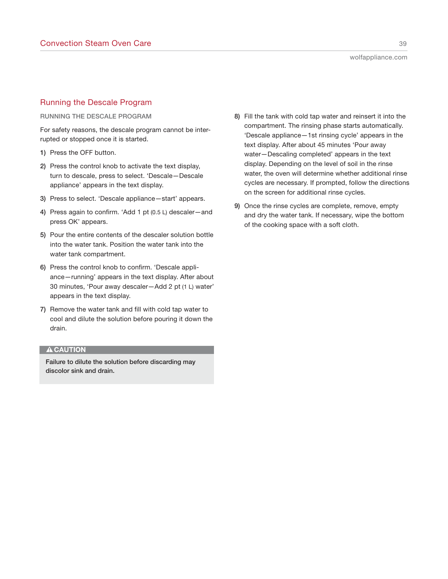### Running the Descale Program

**RUNNING THE DESCALE PROGRAM**

For safety reasons, the descale program cannot be interrupted or stopped once it is started.

- **1)** Press the OFF button.
- **2)** Press the control knob to activate the text display, turn to descale, press to select. 'Descale—Descale appliance' appears in the text display.
- **3)** Press to select. 'Descale appliance—start' appears.
- **4)** Press again to confirm. 'Add 1 pt (0.5 L) descaler—and press OK' appears.
- **5)** Pour the entire contents of the descaler solution bottle into the water tank. Position the water tank into the water tank compartment.
- **6)** Press the control knob to confirm. 'Descale appliance—running' appears in the text display. After about 30 minutes, 'Pour away descaler—Add 2 pt (1 L) water' appears in the text display.
- **7)** Remove the water tank and fill with cold tap water to cool and dilute the solution before pouring it down the drain.

### **A CAUTION**

**Failure to dilute the solution before discarding may discolor sink and drain.**

- **8)** Fill the tank with cold tap water and reinsert it into the compartment. The rinsing phase starts automatically. 'Descale appliance—1st rinsing cycle' appears in the text display. After about 45 minutes 'Pour away water—Descaling completed' appears in the text display. Depending on the level of soil in the rinse water, the oven will determine whether additional rinse cycles are necessary. If prompted, follow the directions on the screen for additional rinse cycles.
- **9)** Once the rinse cycles are complete, remove, empty and dry the water tank. If necessary, wipe the bottom of the cooking space with a soft cloth.

wolfappliance.com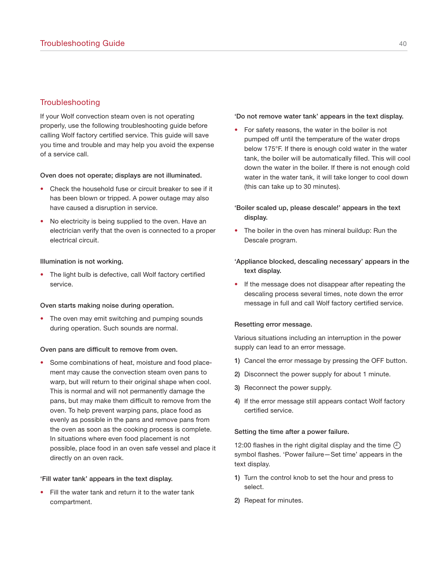### **Troubleshooting**

If your Wolf convection steam oven is not operating properly, use the following troubleshooting guide before calling Wolf factory certified service. This guide will save you time and trouble and may help you avoid the expense of a service call.

#### **Oven does not operate; displays are not illuminated.**

- Check the household fuse or circuit breaker to see if it has been blown or tripped. A power outage may also have caused a disruption in service.
- No electricity is being supplied to the oven. Have an electrician verify that the oven is connected to a proper electrical circuit.

#### **Illumination is not working.**

• The light bulb is defective, call Wolf factory certified service.

#### **Oven starts making noise during operation.**

• The oven may emit switching and pumping sounds during operation. Such sounds are normal.

#### **Oven pans are difficult to remove from oven.**

Some combinations of heat, moisture and food placement may cause the convection steam oven pans to warp, but will return to their original shape when cool. This is normal and will not permanently damage the pans, but may make them difficult to remove from the oven. To help prevent warping pans, place food as evenly as possible in the pans and remove pans from the oven as soon as the cooking process is complete. In situations where even food placement is not possible, place food in an oven safe vessel and place it directly on an oven rack.

#### **'Fill water tank' appears in the text display.**

Fill the water tank and return it to the water tank compartment.

#### **'Do not remove water tank' appears in the text display.**

• For safety reasons, the water in the boiler is not pumped off until the temperature of the water drops below 175°F. If there is enough cold water in the water tank, the boiler will be automatically filled. This will cool down the water in the boiler. If there is not enough cold water in the water tank, it will take longer to cool down (this can take up to 30 minutes).

### **'Boiler scaled up, please descale!' appears in the text display.**

- The boiler in the oven has mineral buildup: Run the Descale program.
- **'Appliance blocked, descaling necessary' appears in the text display.**
- If the message does not disappear after repeating the descaling process several times, note down the error message in full and call Wolf factory certified service.

#### **Resetting error message.**

Various situations including an interruption in the power supply can lead to an error message.

- **1)** Cancel the error message by pressing the OFF button.
- **2)** Disconnect the power supply for about 1 minute.
- **3)** Reconnect the power supply.
- **4)** If the error message still appears contact Wolf factory certified service.

#### **Setting the time after a power failure.**

12:00 flashes in the right digital display and the time  $\bigoplus$ symbol flashes. 'Power failure—Set time' appears in the text display.

- **1)** Turn the control knob to set the hour and press to select.
- **2)** Repeat for minutes.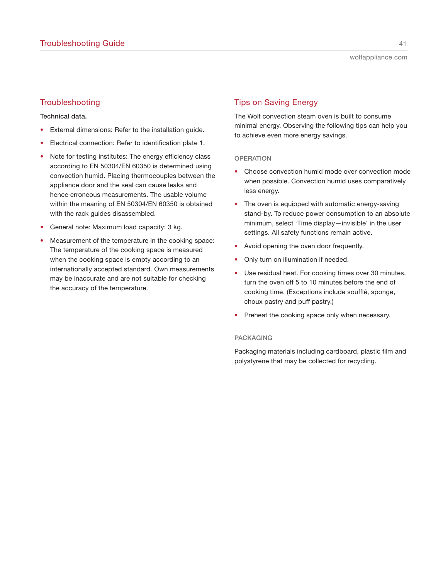### **Troubleshooting**

### **Technical data.**

- External dimensions: Refer to the installation guide.
- Electrical connection: Refer to identification plate 1.
- Note for testing institutes: The energy efficiency class according to EN 50304/EN 60350 is determined using convection humid. Placing thermocouples between the appliance door and the seal can cause leaks and hence erroneous measurements. The usable volume within the meaning of EN 50304/EN 60350 is obtained with the rack guides disassembled.
- General note: Maximum load capacity: 3 kg.
- Measurement of the temperature in the cooking space: The temperature of the cooking space is measured when the cooking space is empty according to an internationally accepted standard. Own measurements may be inaccurate and are not suitable for checking the accuracy of the temperature.

### Tips on Saving Energy

The Wolf convection steam oven is built to consume minimal energy. Observing the following tips can help you to achieve even more energy savings.

#### **OPERATION**

- Choose convection humid mode over convection mode when possible. Convection humid uses comparatively less energy.
- The oven is equipped with automatic energy-saving stand-by. To reduce power consumption to an absolute minimum, select 'Time display—invisible' in the user settings. All safety functions remain active.
- Avoid opening the oven door frequently.
- Only turn on illumination if needed.
- Use residual heat. For cooking times over 30 minutes, turn the oven off 5 to 10 minutes before the end of cooking time. (Exceptions include soufflé, sponge, choux pastry and puff pastry.)
- Preheat the cooking space only when necessary.

### **PACKAGING**

Packaging materials including cardboard, plastic film and polystyrene that may be collected for recycling.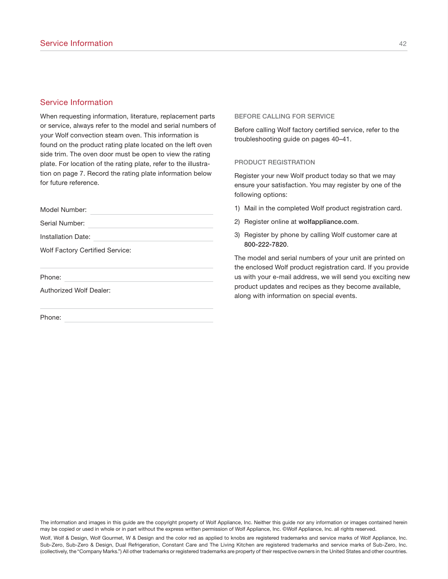### Service Information

When requesting information, literature, replacement parts or service, always refer to the model and serial numbers of your Wolf convection steam oven. This information is found on the product rating plate located on the left oven side trim. The oven door must be open to view the rating plate. For location of the rating plate, refer to the illustration on page 7. Record the rating plate information below for future reference.

Serial Number:

Installation Date:

Wolf Factory Certified Service:

Phone:

Authorized Wolf Dealer:

Phone: **Phone: Phone: Phone: Phone: Phone: Phone: Phone: Phone: Phone: Phone: Phone: Phone: Phone: Phone: Phone: Phone: Phone: Phone: Phone: Phone: Phone: Phone: Phone: Phone:** 

#### **BEFORE CALLING FOR SERVICE**

Before calling Wolf factory certified service, refer to the troubleshooting guide on pages 40–41.

#### **PRODUCT REGISTRATION**

Register your new Wolf product today so that we may ensure your satisfaction. You may register by one of the following options:

- 1) Mail in the completed Wolf product registration card.
- 2) Register online at **wolfappliance.com**.
- 3) Register by phone by calling Wolf customer care at **800-222-7820**.

The model and serial numbers of your unit are printed on the enclosed Wolf product registration card. If you provide us with your e-mail address, we will send you exciting new product updates and recipes as they become available, along with information on special events.

The information and images in this guide are the copyright property of Wolf Appliance, Inc. Neither this guide nor any information or images contained herein may be copied or used in whole or in part without the express written permission of Wolf Appliance, Inc. ©Wolf Appliance, Inc. all rights reserved.

Wolf, Wolf & Design, Wolf Gourmet, W & Design and the color red as applied to knobs are registered trademarks and service marks of Wolf Appliance, Inc. Sub-Zero, Sub-Zero & Design, Dual Refrigeration, Constant Care and The Living Kitchen are registered trademarks and service marks of Sub-Zero, Inc. (collectively, the "Company Marks.") All other trademarks or registered trademarks are property of their respective owners in the United States and other countries.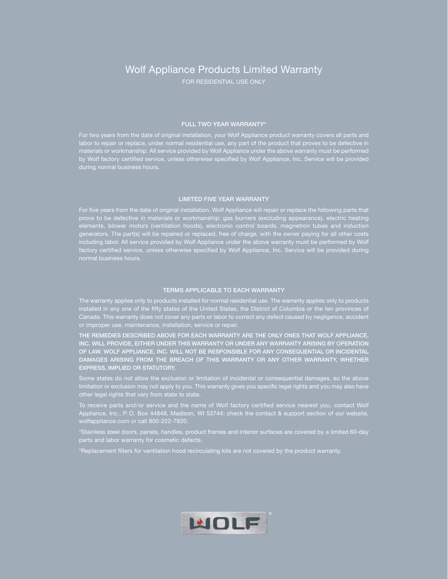## Wolf Appliance Products Limited Warranty

FOR RESIDENTIAL USE ONLY

#### **FULL TWO YEAR WARRANTY\***

labor to repair or replace, under normal residential use, any part of the product that proves to be defective in materials or workmanship. All service provided by Wolf Appliance under the above warranty must be performed by Wolf factory certified service, unless otherwise specified by Wolf Appliance, Inc. Service will be provided during normal business hours.

#### **LIMITED FIVE YEAR WARRANTY**

For five years from the date of original installation, Wolf Appliance will repair or replace the following parts that prove to be defective in materials or workmanship: gas burners (excluding appearance), electric heating elements, blower motors (ventilation hoods), electronic control boards, magnetron tubes and induction generators. The part(s) will be repaired or replaced, free of charge, with the owner paying for all other costs including labor. All service provided by Wolf Appliance under the above warranty must be performed by Wolf factory certified service, unless otherwise specified by Wolf Appliance, Inc. Service will be provided during normal business hours.

#### **TERMS APPLICABLE TO EACH WARRANTY**

The warranty applies only to products installed for normal residential use. The warranty applies only to products installed in any one of the fifty states of the United States, the District of Columbia or the ten provinces of

**THE REMEDIES DESCRIBED ABOVE FOR EACH WARRANTY ARE THE ONLY ONES THAT WOLF APPLIANCE, INC. WILL PROVIDE, EITHER UNDER THIS WARRANTY OR UNDER ANY WARRANTY ARISING BY OPERATION OF LAW. WOLF APPLIANCE, INC. WILL NOT BE RESPONSIBLE FOR ANY CONSEQUENTIAL OR INCIDENTAL DAMAGES ARISING FROM THE BREACH OF THIS WARRANTY OR ANY OTHER WARRANTY, WHETHER EXPRESS, IMPLIED OR STATUTORY.**

Some states do not allow the exclusion or limitation of incidental or consequential damages, so the above limitation or exclusion may not apply to you. This warranty gives you specific legal rights and you may also have other legal rights that vary from state to state.

Appliance, Inc., P.O. Box 44848, Madison, WI 53744; check the contact & support section of our website, wolfappliance.com or call 800-222-7820.

\*Replacement filters for ventilation hood recirculating kits are not covered by the product warranty.